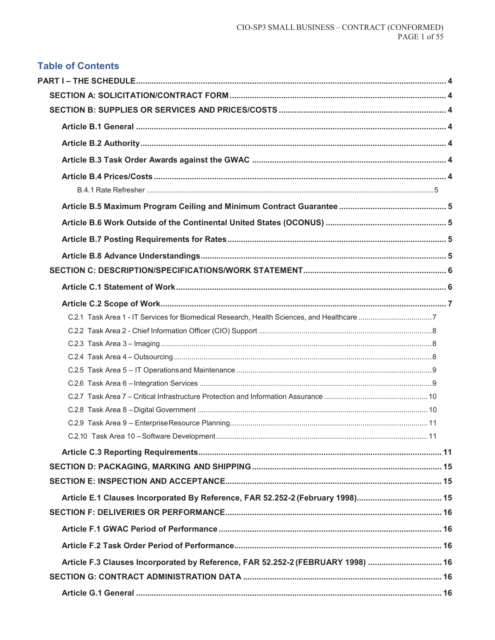# **Table of Contents**

| Article F.3 Clauses Incorporated by Reference, FAR 52.252-2 (FEBRUARY 1998)  16 |  |
|---------------------------------------------------------------------------------|--|
|                                                                                 |  |
|                                                                                 |  |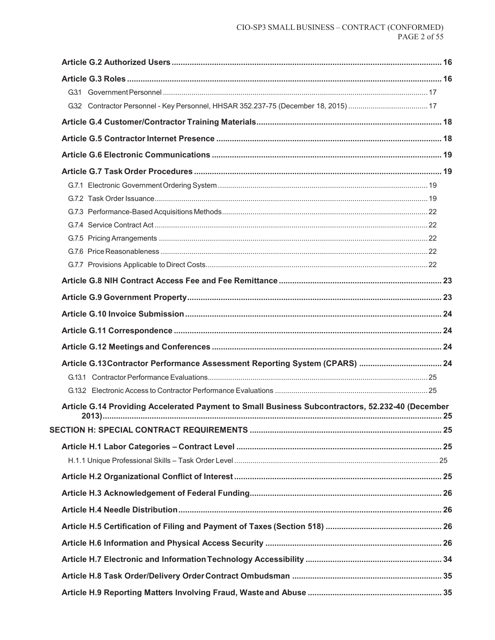| Article G.14 Providing Accelerated Payment to Small Business Subcontractors, 52.232-40 (December<br>$2013$ . | . 25 |
|--------------------------------------------------------------------------------------------------------------|------|
|                                                                                                              |      |
|                                                                                                              |      |
|                                                                                                              |      |
|                                                                                                              |      |
|                                                                                                              |      |
|                                                                                                              |      |
|                                                                                                              |      |
|                                                                                                              |      |
|                                                                                                              |      |
|                                                                                                              |      |
|                                                                                                              |      |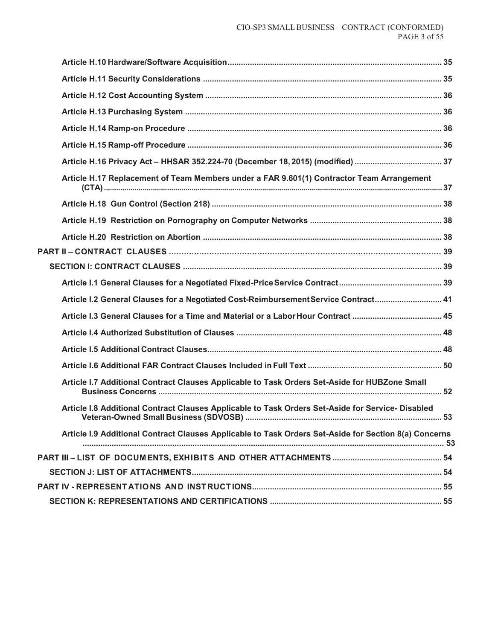| Article H.17 Replacement of Team Members under a FAR 9.601(1) Contractor Team Arrangement             |  |
|-------------------------------------------------------------------------------------------------------|--|
|                                                                                                       |  |
|                                                                                                       |  |
|                                                                                                       |  |
|                                                                                                       |  |
|                                                                                                       |  |
|                                                                                                       |  |
| Article I.2 General Clauses for a Negotiated Cost-Reimbursement Service Contract 41                   |  |
|                                                                                                       |  |
|                                                                                                       |  |
|                                                                                                       |  |
|                                                                                                       |  |
| Article I.7 Additional Contract Clauses Applicable to Task Orders Set-Aside for HUBZone Small         |  |
| Article I.8 Additional Contract Clauses Applicable to Task Orders Set-Aside for Service-Disabled      |  |
| Article I.9 Additional Contract Clauses Applicable to Task Orders Set-Aside for Section 8(a) Concerns |  |
|                                                                                                       |  |
|                                                                                                       |  |
|                                                                                                       |  |
|                                                                                                       |  |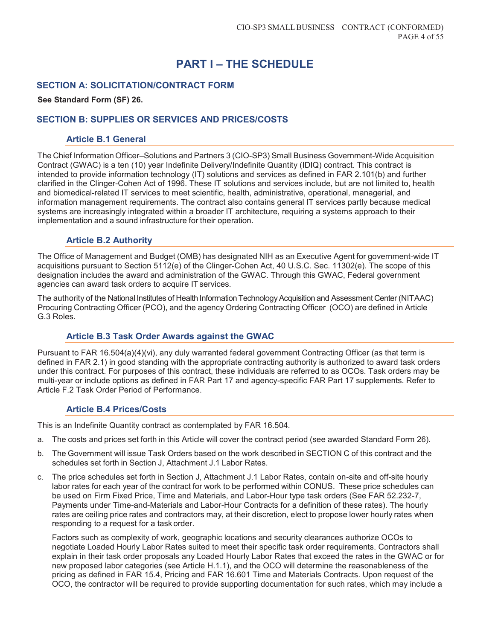# **PART I – THE SCHEDULE**

# **SECTION A: SOLICITATION/CONTRACT FORM**

#### **See Standard Form (SF) 26.**

# **SECTION B: SUPPLIES OR SERVICES AND PRICES/COSTS**

#### **Article B.1 General**

The Chief Information Officer–Solutions and Partners 3 (CIO-SP3) Small Business Government-Wide Acquisition Contract (GWAC) is a ten (10) year Indefinite Delivery/Indefinite Quantity (IDIQ) contract. This contract is intended to provide information technology (IT) solutions and services as defined in FAR 2.101(b) and further clarified in the Clinger-Cohen Act of 1996. These IT solutions and services include, but are not limited to, health and biomedical-related IT services to meet scientific, health, administrative, operational, managerial, and information management requirements. The contract also contains general IT services partly because medical systems are increasingly integrated within a broader IT architecture, requiring a systems approach to their implementation and a sound infrastructure for their operation.

# **Article B.2 Authority**

The Office of Management and Budget (OMB) has designated NIH as an Executive Agent for government-wide IT acquisitions pursuant to Section 5112(e) of the Clinger-Cohen Act, 40 U.S.C. Sec. 11302(e). The scope of this designation includes the award and administration of the GWAC. Through this GWAC, Federal government agencies can award task orders to acquire IT services.

The authority of the National Institutes of Health Information Technology Acquisition and Assessment Center (NITAAC) Procuring Contracting Officer (PCO), and the agency Ordering Contracting Officer (OCO) are defined in Article G.3 Roles.

# **Article B.3 Task Order Awards against the GWAC**

Pursuant to FAR 16.504(a)(4)(vi), any duly warranted federal government Contracting Officer (as that term is defined in FAR 2.1) in good standing with the appropriate contracting authority is authorized to award task orders under this contract. For purposes of this contract, these individuals are referred to as OCOs. Task orders may be multi-year or include options as defined in FAR Part 17 and agency-specific FAR Part 17 supplements. Refer to Article F.2 Task Order Period of Performance.

## **Article B.4 Prices/Costs**

This is an Indefinite Quantity contract as contemplated by FAR 16.504.

- a. The costs and prices set forth in this Article will cover the contract period (see awarded Standard Form 26).
- b. The Government will issue Task Orders based on the work described in SECTION C of this contract and the schedules set forth in Section J, Attachment J.1 Labor Rates.
- c. The price schedules set forth in Section J, Attachment J.1 Labor Rates, contain on-site and off-site hourly labor rates for each year of the contract for work to be performed within CONUS. These price schedules can be used on Firm Fixed Price, Time and Materials, and Labor-Hour type task orders (See FAR 52.232-7, Payments under Time-and-Materials and Labor-Hour Contracts for a definition of these rates). The hourly rates are ceiling price rates and contractors may, at their discretion, elect to propose lower hourly rates when responding to a request for a task order.

Factors such as complexity of work, geographic locations and security clearances authorize OCOs to negotiate Loaded Hourly Labor Rates suited to meet their specific task order requirements. Contractors shall explain in their task order proposals any Loaded Hourly Labor Rates that exceed the rates in the GWAC or for new proposed labor categories (see Article H.1.1), and the OCO will determine the reasonableness of the pricing as defined in FAR 15.4, Pricing and FAR 16.601 Time and Materials Contracts. Upon request of the OCO, the contractor will be required to provide supporting documentation for such rates, which may include a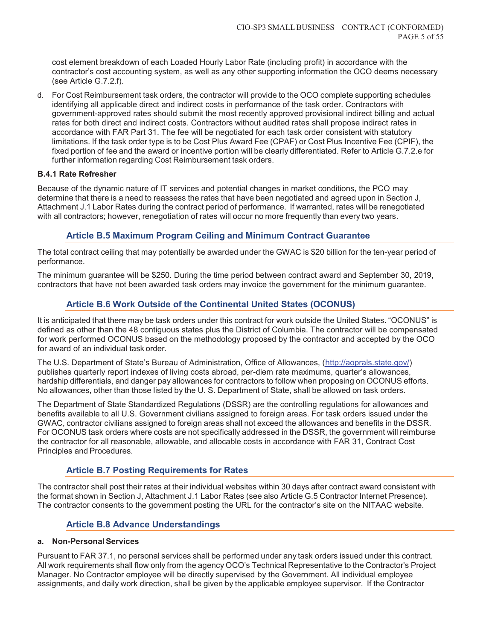cost element breakdown of each Loaded Hourly Labor Rate (including profit) in accordance with the contractor's cost accounting system, as well as any other supporting information the OCO deems necessary (see Article G.7.2.f).

d. For Cost Reimbursement task orders, the contractor will provide to the OCO complete supporting schedules identifying all applicable direct and indirect costs in performance of the task order. Contractors with government-approved rates should submit the most recently approved provisional indirect billing and actual rates for both direct and indirect costs. Contractors without audited rates shall propose indirect rates in accordance with FAR Part 31. The fee will be negotiated for each task order consistent with statutory limitations. If the task order type is to be Cost Plus Award Fee (CPAF) or Cost Plus Incentive Fee (CPIF), the fixed portion of fee and the award or incentive portion will be clearly differentiated. Refer to Article G.7.2.e for further information regarding Cost Reimbursement task orders.

## **B.4.1 Rate Refresher**

Because of the dynamic nature of IT services and potential changes in market conditions, the PCO may determine that there is a need to reassess the rates that have been negotiated and agreed upon in Section J, Attachment J.1 Labor Rates during the contract period of performance. If warranted, rates will be renegotiated with all contractors; however, renegotiation of rates will occur no more frequently than every two years.

# **Article B.5 Maximum Program Ceiling and Minimum Contract Guarantee**

The total contract ceiling that may potentially be awarded under the GWAC is \$20 billion for the ten-year period of performance.

The minimum guarantee will be \$250. During the time period between contract award and September 30, 2019, contractors that have not been awarded task orders may invoice the government for the minimum guarantee.

# **Article B.6 Work Outside of the Continental United States (OCONUS)**

It is anticipated that there may be task orders under this contract for work outside the United States. "OCONUS" is defined as other than the 48 contiguous states plus the District of Columbia. The contractor will be compensated for work performed OCONUS based on the methodology proposed by the contractor and accepted by the OCO for award of an individual task order.

The U.S. Department of State's Bureau of Administration, Office of Allowances, (http://aoprals.state.gov/) publishes quarterly report indexes of living costs abroad, per-diem rate maximums, quarter's allowances, hardship differentials, and danger pay allowances for contractors to follow when proposing on OCONUS efforts. No allowances, other than those listed by the U. S. Department of State, shall be allowed on task orders.

The Department of State Standardized Regulations (DSSR) are the controlling regulations for allowances and benefits available to all U.S. Government civilians assigned to foreign areas. For task orders issued under the GWAC, contractor civilians assigned to foreign areas shall not exceed the allowances and benefits in the DSSR. For OCONUS task orders where costs are not specifically addressed in the DSSR, the government will reimburse the contractor for all reasonable, allowable, and allocable costs in accordance with FAR 31, Contract Cost Principles and Procedures.

## **Article B.7 Posting Requirements for Rates**

The contractor shall post their rates at their individual websites within 30 days after contract award consistent with the format shown in Section J, Attachment J.1 Labor Rates (see also Article G.5 Contractor Internet Presence). The contractor consents to the government posting the URL for the contractor's site on the NITAAC website.

# **Article B.8 Advance Understandings**

#### **a. Non-Personal Services**

Pursuant to FAR 37.1, no personal services shall be performed under any task orders issued under this contract. All work requirements shall flow only from the agency OCO's Technical Representative to the Contractor's Project Manager. No Contractor employee will be directly supervised by the Government. All individual employee assignments, and daily work direction, shall be given by the applicable employee supervisor. If the Contractor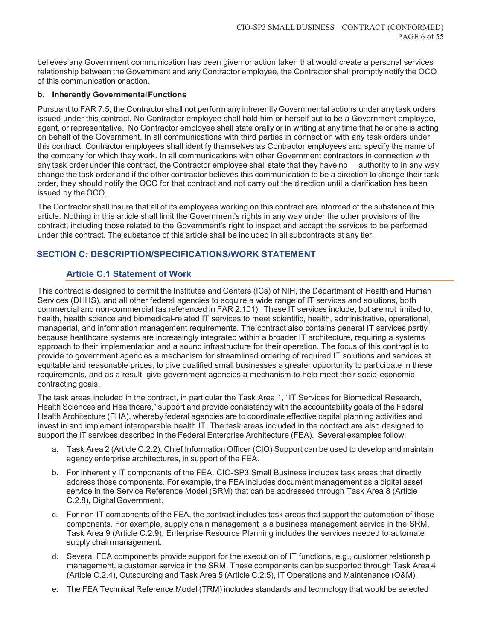believes any Government communication has been given or action taken that would create a personal services relationship between the Government and any Contractor employee, the Contractor shall promptly notify the OCO of this communication or action.

#### **b. Inherently Governmental Functions**

Pursuant to FAR 7.5, the Contractor shall not perform any inherently Governmental actions under any task orders issued under this contract. No Contractor employee shall hold him or herself out to be a Government employee, agent, or representative. No Contractor employee shall state orally or in writing at any time that he or she is acting on behalf of the Government. In all communications with third parties in connection with any task orders under this contract, Contractor employees shall identify themselves as Contractor employees and specify the name of the company for which they work. In all communications with other Government contractors in connection with any task order under this contract, the Contractor employee shall state that they have no authority to in any way change the task order and if the other contractor believes this communication to be a direction to change their task order, they should notify the OCO for that contract and not carry out the direction until a clarification has been issued by the OCO.

The Contractor shall insure that all of its employees working on this contract are informed of the substance of this article. Nothing in this article shall limit the Government's rights in any way under the other provisions of the contract, including those related to the Government's right to inspect and accept the services to be performed under this contract. The substance of this article shall be included in all subcontracts at any tier.

# **SECTION C: DESCRIPTION/SPECIFICATIONS/WORK STATEMENT**

# **Article C.1 Statement of Work**

This contract is designed to permit the Institutes and Centers (ICs) of NIH, the Department of Health and Human Services (DHHS), and all other federal agencies to acquire a wide range of IT services and solutions, both commercial and non-commercial (as referenced in FAR 2.101). These IT services include, but are not limited to, health, health science and biomedical-related IT services to meet scientific, health, administrative, operational, managerial, and information management requirements. The contract also contains general IT services partly because healthcare systems are increasingly integrated within a broader IT architecture, requiring a systems approach to their implementation and a sound infrastructure for their operation. The focus of this contract is to provide to government agencies a mechanism for streamlined ordering of required IT solutions and services at equitable and reasonable prices, to give qualified small businesses a greater opportunity to participate in these requirements, and as a result, give government agencies a mechanism to help meet their socio-economic contracting goals.

The task areas included in the contract, in particular the Task Area 1, "IT Services for Biomedical Research, Health Sciences and Healthcare," support and provide consistency with the accountability goals of the Federal Health Architecture (FHA), whereby federal agencies are to coordinate effective capital planning activities and invest in and implement interoperable health IT. The task areas included in the contract are also designed to support the IT services described in the Federal Enterprise Architecture (FEA). Several examples follow:

- a. Task Area 2 (Article C.2.2), Chief Information Officer (CIO) Support can be used to develop and maintain agency enterprise architectures, in support of the FEA.
- b. For inherently IT components of the FEA, CIO-SP3 Small Business includes task areas that directly address those components. For example, the FEA includes document management as a digital asset service in the Service Reference Model (SRM) that can be addressed through Task Area 8 (Article C.2.8), Digital Government.
- c. For non-IT components of the FEA, the contract includes task areas that support the automation of those components. For example, supply chain management is a business management service in the SRM. Task Area 9 (Article C.2.9), Enterprise Resource Planning includes the services needed to automate supply chain management.
- d. Several FEA components provide support for the execution of IT functions, e.g., customer relationship management, a customer service in the SRM. These components can be supported through Task Area 4 (Article C.2.4), Outsourcing and Task Area 5 (Article C.2.5), IT Operations and Maintenance (O&M).
- e. The FEA Technical Reference Model (TRM) includes standards and technology that would be selected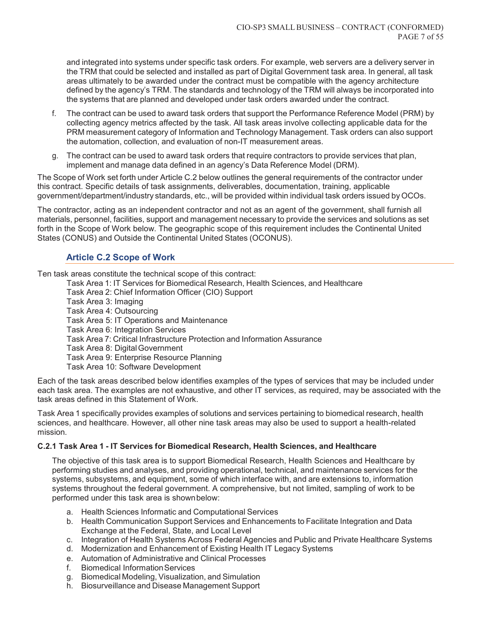and integrated into systems under specific task orders. For example, web servers are a delivery server in the TRM that could be selected and installed as part of Digital Government task area. In general, all task areas ultimately to be awarded under the contract must be compatible with the agency architecture defined by the agency's TRM. The standards and technology of the TRM will always be incorporated into the systems that are planned and developed under task orders awarded under the contract.

- f. The contract can be used to award task orders that support the Performance Reference Model (PRM) by collecting agency metrics affected by the task. All task areas involve collecting applicable data for the PRM measurement category of Information and Technology Management. Task orders can also support the automation, collection, and evaluation of non-IT measurement areas.
- g. The contract can be used to award task orders that require contractors to provide services that plan, implement and manage data defined in an agency's Data Reference Model (DRM).

The Scope of Work set forth under Article C.2 below outlines the general requirements of the contractor under this contract. Specific details of task assignments, deliverables, documentation, training, applicable government/department/industry standards, etc., will be provided within individual task orders issued by OCOs.

The contractor, acting as an independent contractor and not as an agent of the government, shall furnish all materials, personnel, facilities, support and management necessary to provide the services and solutions as set forth in the Scope of Work below. The geographic scope of this requirement includes the Continental United States (CONUS) and Outside the Continental United States (OCONUS).

# **Article C.2 Scope of Work**

Ten task areas constitute the technical scope of this contract:

- Task Area 1: IT Services for Biomedical Research, Health Sciences, and Healthcare
- Task Area 2: Chief Information Officer (CIO) Support
- Task Area 3: Imaging
- Task Area 4: Outsourcing
- Task Area 5: IT Operations and Maintenance
- Task Area 6: Integration Services
- Task Area 7: Critical Infrastructure Protection and Information Assurance
- Task Area 8: Digital Government
- Task Area 9: Enterprise Resource Planning
- Task Area 10: Software Development

Each of the task areas described below identifies examples of the types of services that may be included under each task area. The examples are not exhaustive, and other IT services, as required, may be associated with the task areas defined in this Statement of Work.

Task Area 1 specifically provides examples of solutions and services pertaining to biomedical research, health sciences, and healthcare. However, all other nine task areas may also be used to support a health-related mission.

#### **C.2.1 Task Area 1 - IT Services for Biomedical Research, Health Sciences, and Healthcare**

The objective of this task area is to support Biomedical Research, Health Sciences and Healthcare by performing studies and analyses, and providing operational, technical, and maintenance services for the systems, subsystems, and equipment, some of which interface with, and are extensions to, information systems throughout the federal government. A comprehensive, but not limited, sampling of work to be performed under this task area is shown below:

- a. Health Sciences Informatic and Computational Services
- b. Health Communication Support Services and Enhancements to Facilitate Integration and Data Exchange at the Federal, State, and Local Level
- c. Integration of Health Systems Across Federal Agencies and Public and Private Healthcare Systems
- d. Modernization and Enhancement of Existing Health IT Legacy Systems
- e. Automation of Administrative and Clinical Processes
- f. Biomedical Information Services
- g. Biomedical Modeling, Visualization, and Simulation
- h. Biosurveillance and Disease Management Support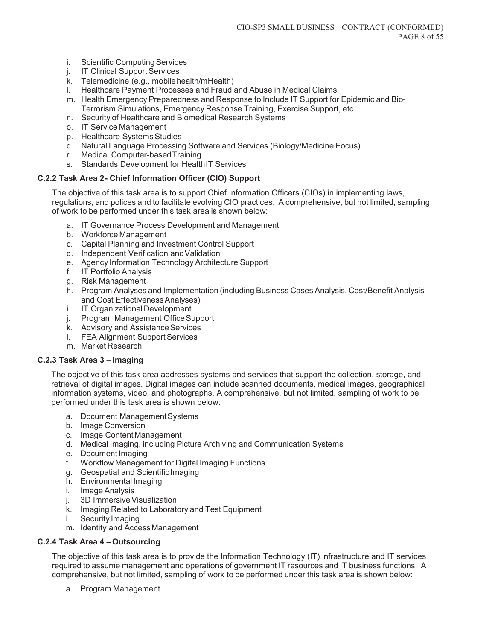- i. Scientific Computing Services
- j. IT Clinical Support Services
- k. Telemedicine (e.g., mobile health/mHealth)
- l. Healthcare Payment Processes and Fraud and Abuse in Medical Claims
- m. Health Emergency Preparedness and Response to Include IT Support for Epidemic and Bio-Terrorism Simulations, Emergency Response Training, Exercise Support, etc.
- n. Security of Healthcare and Biomedical Research Systems
- o. IT Service Management
- p. Healthcare Systems Studies
- q. Natural Language Processing Software and Services (Biology/Medicine Focus)
- r. Medical Computer-based Training
- s. Standards Development for Health IT Services

## **C.2.2 Task Area 2 - Chief Information Officer (CIO) Support**

The objective of this task area is to support Chief Information Officers (CIOs) in implementing laws, regulations, and polices and to facilitate evolving CIO practices. A comprehensive, but not limited, sampling of work to be performed under this task area is shown below:

- a. IT Governance Process Development and Management
- b. Workforce Management
- c. Capital Planning and Investment Control Support
- d. Independent Verification and Validation
- e. Agency Information Technology Architecture Support
- f. IT Portfolio Analysis
- g. Risk Management
- h. Program Analyses and Implementation (including Business Cases Analysis, Cost/Benefit Analysis and Cost Effectiveness Analyses)
- i. IT Organizational Development
- j. Program Management Office Support
- k. Advisory and Assistance Services
- l. FEA Alignment Support Services
- m. Market Research

#### **C.2.3 Task Area 3 – Imaging**

The objective of this task area addresses systems and services that support the collection, storage, and retrieval of digital images. Digital images can include scanned documents, medical images, geographical information systems, video, and photographs. A comprehensive, but not limited, sampling of work to be performed under this task area is shown below:

- a. Document Management Systems
- b. Image Conversion
- c. Image Content Management
- d. Medical Imaging, including Picture Archiving and Communication Systems
- e. Document Imaging
- f. Workflow Management for Digital Imaging Functions
- g. Geospatial and Scientific Imaging
- h. Environmental Imaging
- i. Image Analysis
- j. 3D Immersive Visualization
- k. Imaging Related to Laboratory and Test Equipment
- l. Security Imaging
- m. Identity and Access Management

## **C.2.4 Task Area 4 – Outsourcing**

The objective of this task area is to provide the Information Technology (IT) infrastructure and IT services required to assume management and operations of government IT resources and IT business functions. A comprehensive, but not limited, sampling of work to be performed under this task area is shown below:

a. Program Management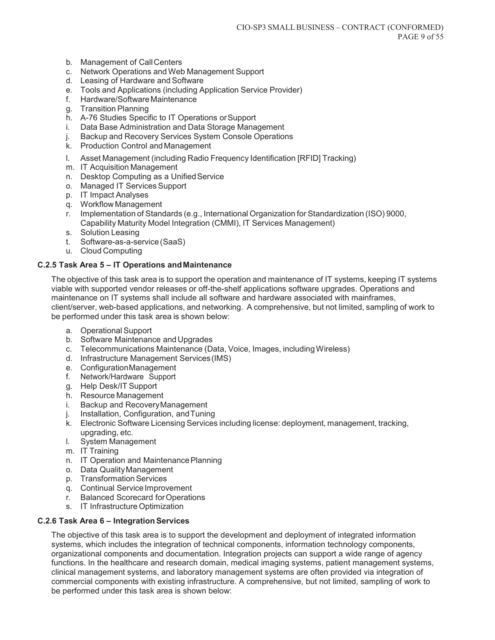- b. Management of Call Centers
- c. Network Operations and Web Management Support
- d. Leasing of Hardware and Software
- e. Tools and Applications (including Application Service Provider)
- f. Hardware/Software Maintenance
- g. Transition Planning
- h. A-76 Studies Specific to IT Operations or Support
- i. Data Base Administration and Data Storage Management
- j. Backup and Recovery Services System Console Operations
- k. Production Control and Management
- l. Asset Management (including Radio Frequency Identification [RFID] Tracking)
- m. IT Acquisition Management
- n. Desktop Computing as a Unified Service
- o. Managed IT Services Support
- p. IT Impact Analyses
- q. Workflow Management
- r. Implementation of Standards (e.g., International Organization for Standardization (ISO) 9000, Capability Maturity Model Integration (CMMI), IT Services Management)
- s. Solution Leasing
- t. Software-as-a-service (SaaS)
- u. Cloud Computing

#### **C.2.5 Task Area 5 – IT Operations and Maintenance**

The objective of this task area is to support the operation and maintenance of IT systems, keeping IT systems viable with supported vendor releases or off-the-shelf applications software upgrades. Operations and maintenance on IT systems shall include all software and hardware associated with mainframes, client/server, web-based applications, and networking. A comprehensive, but not limited, sampling of work to be performed under this task area is shown below:

- a. Operational Support
- b. Software Maintenance and Upgrades
- c. Telecommunications Maintenance (Data, Voice, Images, including Wireless)
- d. Infrastructure Management Services (IMS)
- e. Configuration Management
- f. Network/Hardware Support
- g. Help Desk/IT Support
- h. Resource Management
- i. Backup and Recovery Management
- j. Installation, Configuration, and Tuning
- k. Electronic Software Licensing Services including license: deployment, management, tracking, upgrading, etc.
- l. System Management
- m. IT Training
- n. IT Operation and Maintenance Planning
- o. Data Quality Management
- p. Transformation Services
- q. Continual Service Improvement
- r. Balanced Scorecard for Operations
- s. IT Infrastructure Optimization

#### **C.2.6 Task Area 6 – Integration Services**

The objective of this task area is to support the development and deployment of integrated information systems, which includes the integration of technical components, information technology components, organizational components and documentation. Integration projects can support a wide range of agency functions. In the healthcare and research domain, medical imaging systems, patient management systems, clinical management systems, and laboratory management systems are often provided via integration of commercial components with existing infrastructure. A comprehensive, but not limited, sampling of work to be performed under this task area is shown below: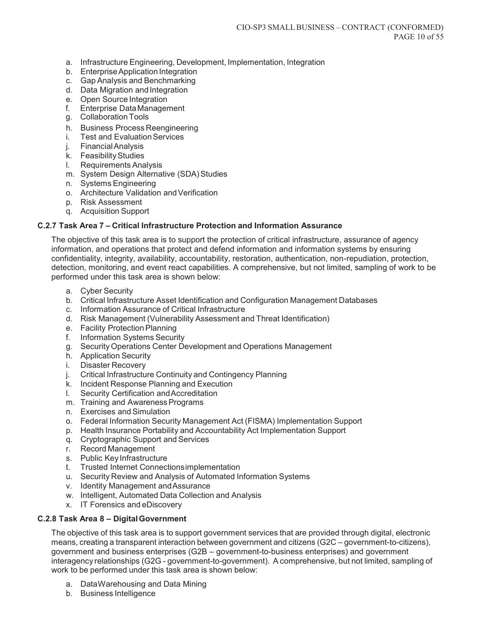- a. Infrastructure Engineering, Development, Implementation, Integration
- b. Enterprise Application Integration
- c. Gap Analysis and Benchmarking
- d. Data Migration and Integration
- e. Open Source Integration
- f. Enterprise Data Management
- g. Collaboration Tools
- h. Business Process Reengineering
- i. Test and Evaluation Services
- j. Financial Analysis
- k. Feasibility Studies
- l. Requirements Analysis
- m. System Design Alternative (SDA) Studies
- n. Systems Engineering
- o. Architecture Validation and Verification
- p. Risk Assessment
- q. Acquisition Support

#### **C.2.7 Task Area 7 – Critical Infrastructure Protection and Information Assurance**

The objective of this task area is to support the protection of critical infrastructure, assurance of agency information, and operations that protect and defend information and information systems by ensuring confidentiality, integrity, availability, accountability, restoration, authentication, non-repudiation, protection, detection, monitoring, and event react capabilities. A comprehensive, but not limited, sampling of work to be performed under this task area is shown below:

- a. Cyber Security
- b. Critical Infrastructure Asset Identification and Configuration Management Databases
- c. Information Assurance of Critical Infrastructure
- d. Risk Management (Vulnerability Assessment and Threat Identification)
- e. Facility Protection Planning
- f. Information Systems Security
- g. Security Operations Center Development and Operations Management
- h. Application Security
- i. Disaster Recovery
- j. Critical Infrastructure Continuity and Contingency Planning
- k. Incident Response Planning and Execution
- l. Security Certification and Accreditation
- m. Training and Awareness Programs
- n. Exercises and Simulation
- o. Federal Information Security Management Act (FISMA) Implementation Support
- p. Health Insurance Portability and Accountability Act Implementation Support
- q. Cryptographic Support and Services
- r. Record Management
- s. Public Key Infrastructure
- t. Trusted Internet Connections implementation
- u. Security Review and Analysis of Automated Information Systems
- v. Identity Management and Assurance
- w. Intelligent, Automated Data Collection and Analysis
- x. IT Forensics and eDiscovery

#### **C.2.8 Task Area 8 – Digital Government**

The objective of this task area is to support government services that are provided through digital, electronic means, creating a transparent interaction between government and citizens (G2C – government-to-citizens), government and business enterprises (G2B – government-to-business enterprises) and government interagency relationships (G2G - government-to-government). A comprehensive, but not limited, sampling of work to be performed under this task area is shown below:

- a. Data Warehousing and Data Mining
- b. Business Intelligence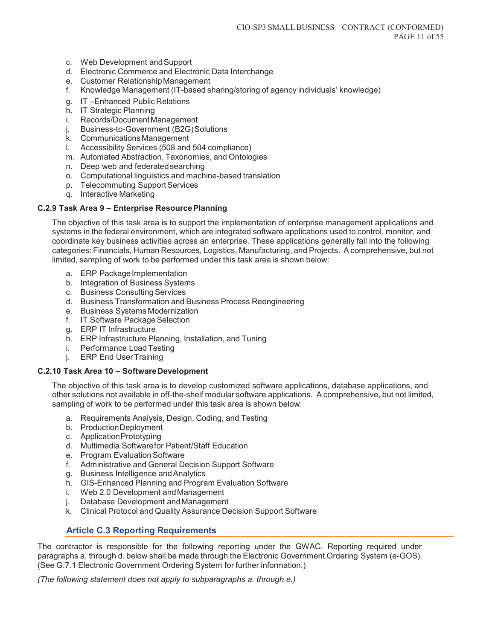- c. Web Development and Support
- d. Electronic Commerce and Electronic Data Interchange
- e. Customer Relationship Management
- f. Knowledge Management (IT-based sharing/storing of agency individuals' knowledge)
- g. IT –Enhanced Public Relations
- h. IT Strategic Planning
- i. Records/Document Management
- j. Business-to-Government (B2G) Solutions
- k. Communications Management
- l. Accessibility Services (508 and 504 compliance)
- m. Automated Abstraction, Taxonomies, and Ontologies
- n. Deep web and federated searching
- o. Computational linguistics and machine-based translation
- p. Telecommuting Support Services
- q. Interactive Marketing

#### **C.2.9 Task Area 9 – Enterprise Resource Planning**

The objective of this task area is to support the implementation of enterprise management applications and systems in the federal environment, which are integrated software applications used to control, monitor, and coordinate key business activities across an enterprise. These applications generally fall into the following categories: Financials, Human Resources, Logistics, Manufacturing, and Projects. A comprehensive, but not limited, sampling of work to be performed under this task area is shown below:

- a. ERP Package Implementation
- b. Integration of Business Systems
- c. Business Consulting Services
- d. Business Transformation and Business Process Reengineering
- e. Business Systems Modernization
- f. IT Software Package Selection
- g. ERP IT Infrastructure
- h. ERP Infrastructure Planning, Installation, and Tuning
- i. Performance Load Testing
- j. ERP End User Training

#### **C.2.10 Task Area 10 – Software Development**

The objective of this task area is to develop customized software applications, database applications, and other solutions not available in off-the-shelf modular software applications. A comprehensive, but not limited, sampling of work to be performed under this task area is shown below:

- a. Requirements Analysis, Design, Coding, and Testing
- b. Production Deployment
- c. Application Prototyping
- d. Multimedia Software for Patient/Staff Education
- e. Program Evaluation Software
- f. Administrative and General Decision Support Software
- g. Business Intelligence and Analytics
- h. GIS-Enhanced Planning and Program Evaluation Software
- i. Web 2.0 Development and Management
- j. Database Development and Management
- k. Clinical Protocol and Quality Assurance Decision Support Software

# **Article C.3 Reporting Requirements**

The contractor is responsible for the following reporting under the GWAC. Reporting required under paragraphs a. through d. below shall be made through the Electronic Government Ordering System (e-GOS). (See G.7.1 Electronic Government Ordering System for further information.)

*(The following statement does not apply to subparagraphs a. through e.)*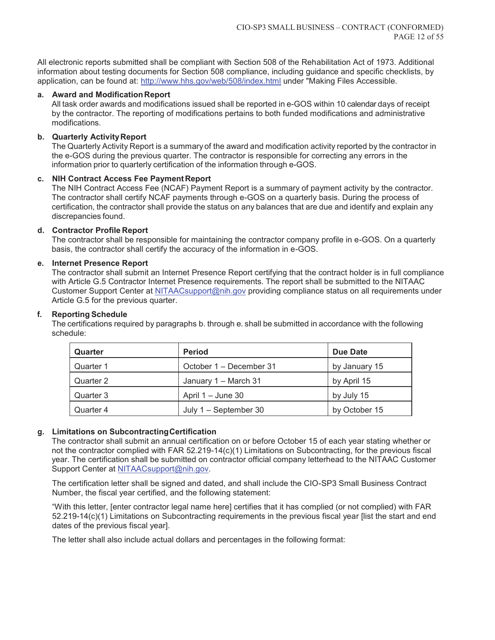All electronic reports submitted shall be compliant with Section 508 of the Rehabilitation Act of 1973. Additional information about testing documents for Section 508 compliance, including guidance and specific checklists, by application, can be found at: http://www.hhs.gov/web/508/index.html under "Making Files Accessible.

#### **a. Award and Modification Report**

All task order awards and modifications issued shall be reported in e-GOS within 10 calendar days of receipt by the contractor. The reporting of modifications pertains to both funded modifications and administrative modifications.

#### **b. Quarterly Activity Report**

The Quarterly Activity Report is a summary of the award and modification activity reported by the contractor in the e-GOS during the previous quarter. The contractor is responsible for correcting any errors in the information prior to quarterly certification of the information through e-GOS.

#### **c. NIH Contract Access Fee Payment Report**

The NIH Contract Access Fee (NCAF) Payment Report is a summary of payment activity by the contractor. The contractor shall certify NCAF payments through e-GOS on a quarterly basis. During the process of certification, the contractor shall provide the status on any balances that are due and identify and explain any discrepancies found.

#### **d. Contractor Profile Report**

The contractor shall be responsible for maintaining the contractor company profile in e-GOS. On a quarterly basis, the contractor shall certify the accuracy of the information in e-GOS.

#### **e. Internet Presence Report**

The contractor shall submit an Internet Presence Report certifying that the contract holder is in full compliance with Article G.5 Contractor Internet Presence requirements. The report shall be submitted to the NITAAC Customer Support Center at NITAACsupport@nih.gov providing compliance status on all requirements under Article G.5 for the previous quarter.

#### **f. Reporting Schedule**

The certifications required by paragraphs b. through e. shall be submitted in accordance with the following schedule:

| Quarter   | <b>Period</b>           | Due Date      |
|-----------|-------------------------|---------------|
| Quarter 1 | October 1 – December 31 | by January 15 |
| Quarter 2 | January 1 - March 31    | by April 15   |
| Quarter 3 | April $1 -$ June 30     | by July 15    |
| Quarter 4 | July $1 -$ September 30 | by October 15 |

## **g. Limitations on Subcontracting Certification**

The contractor shall submit an annual certification on or before October 15 of each year stating whether or not the contractor complied with FAR 52.219-14(c)(1) Limitations on Subcontracting, for the previous fiscal year. The certification shall be submitted on contractor official company letterhead to the NITAAC Customer Support Center at NITAACsupport@nih.gov.

The certification letter shall be signed and dated, and shall include the CIO-SP3 Small Business Contract Number, the fiscal year certified, and the following statement:

"With this letter, [enter contractor legal name here] certifies that it has complied (or not complied) with FAR 52.219-14(c)(1) Limitations on Subcontracting requirements in the previous fiscal year [list the start and end dates of the previous fiscal year].

The letter shall also include actual dollars and percentages in the following format: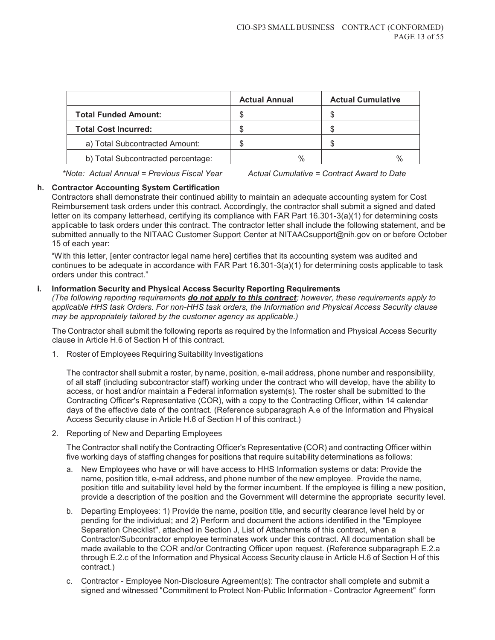|                                    | <b>Actual Annual</b> | <b>Actual Cumulative</b> |
|------------------------------------|----------------------|--------------------------|
| <b>Total Funded Amount:</b>        |                      |                          |
| <b>Total Cost Incurred:</b>        | ß.                   |                          |
| a) Total Subcontracted Amount:     |                      |                          |
| b) Total Subcontracted percentage: | $\%$                 | $\%$                     |

*\*Note: Actual Annual = Previous Fiscal Year Actual Cumulative = Contract Award to Date* 

#### **h. Contractor Accounting System Certification**

Contractors shall demonstrate their continued ability to maintain an adequate accounting system for Cost Reimbursement task orders under this contract. Accordingly, the contractor shall submit a signed and dated letter on its company letterhead, certifying its compliance with FAR Part 16.301-3(a)(1) for determining costs applicable to task orders under this contract. The contractor letter shall include the following statement, and be submitted annually to the NITAAC Customer Support Center at NITAACsupport@nih.gov on or before October 15 of each year:

"With this letter, [enter contractor legal name here] certifies that its accounting system was audited and continues to be adequate in accordance with FAR Part 16.301-3(a)(1) for determining costs applicable to task orders under this contract."

#### **i. Information Security and Physical Access Security Reporting Requirements**

*(The following reporting requirements do not apply to this contract; however, these requirements apply to applicable HHS task Orders. For non-HHS task orders, the Information and Physical Access Security clause may be appropriately tailored by the customer agency as applicable.)* 

The Contractor shall submit the following reports as required by the Information and Physical Access Security clause in Article H.6 of Section H of this contract.

1. Roster of Employees Requiring Suitability Investigations

The contractor shall submit a roster, by name, position, e-mail address, phone number and responsibility, of all staff (including subcontractor staff) working under the contract who will develop, have the ability to access, or host and/or maintain a Federal information system(s). The roster shall be submitted to the Contracting Officer's Representative (COR), with a copy to the Contracting Officer, within 14 calendar days of the effective date of the contract. (Reference subparagraph A.e of the Information and Physical Access Security clause in Article H.6 of Section H of this contract.)

2. Reporting of New and Departing Employees

The Contractor shall notify the Contracting Officer's Representative (COR) and contracting Officer within five working days of staffing changes for positions that require suitability determinations as follows:

- a. New Employees who have or will have access to HHS Information systems or data: Provide the name, position title, e-mail address, and phone number of the new employee. Provide the name, position title and suitability level held by the former incumbent. If the employee is filling a new position, provide a description of the position and the Government will determine the appropriate security level.
- b. Departing Employees: 1) Provide the name, position title, and security clearance level held by or pending for the individual; and 2) Perform and document the actions identified in the "Employee Separation Checklist", attached in Section J, List of Attachments of this contract, when a Contractor/Subcontractor employee terminates work under this contract. All documentation shall be made available to the COR and/or Contracting Officer upon request. (Reference subparagraph E.2.a through E.2.c of the Information and Physical Access Security clause in Article H.6 of Section H of this contract.)
- c. Contractor Employee Non-Disclosure Agreement(s): The contractor shall complete and submit a signed and witnessed "Commitment to Protect Non-Public Information - Contractor Agreement" form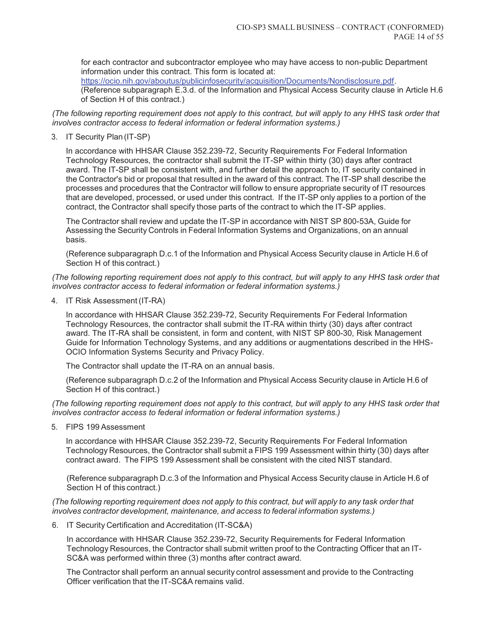for each contractor and subcontractor employee who may have access to non-public Department information under this contract. This form is located at: https://ocio.nih.gov/aboutus/publicinfosecurity/acquisition/Documents/Nondisclosure.pdf. (Reference subparagraph E.3.d. of the Information and Physical Access Security clause in Article H.6

of Section H of this contract.)

*(The following reporting requirement does not apply to this contract, but will apply to any HHS task order that involves contractor access to federal information or federal information systems.)* 

#### 3. IT Security Plan (IT-SP)

In accordance with HHSAR Clause 352.239-72, Security Requirements For Federal Information Technology Resources, the contractor shall submit the IT-SP within thirty (30) days after contract award. The IT-SP shall be consistent with, and further detail the approach to, IT security contained in the Contractor's bid or proposal that resulted in the award of this contract. The IT-SP shall describe the processes and procedures that the Contractor will follow to ensure appropriate security of IT resources that are developed, processed, or used under this contract. If the IT-SP only applies to a portion of the contract, the Contractor shall specify those parts of the contract to which the IT-SP applies.

The Contractor shall review and update the IT-SP in accordance with NIST SP 800-53A, Guide for Assessing the Security Controls in Federal Information Systems and Organizations, on an annual basis.

(Reference subparagraph D.c.1 of the Information and Physical Access Security clause in Article H.6 of Section H of this contract.)

*(The following reporting requirement does not apply to this contract, but will apply to any HHS task order that involves contractor access to federal information or federal information systems.)* 

4. IT Risk Assessment (IT-RA)

In accordance with HHSAR Clause 352.239-72, Security Requirements For Federal Information Technology Resources, the contractor shall submit the IT-RA within thirty (30) days after contract award. The IT-RA shall be consistent, in form and content, with NIST SP 800-30, Risk Management Guide for Information Technology Systems, and any additions or augmentations described in the HHS-OCIO Information Systems Security and Privacy Policy.

The Contractor shall update the IT-RA on an annual basis.

(Reference subparagraph D.c.2 of the Information and Physical Access Security clause in Article H.6 of Section H of this contract.)

*(The following reporting requirement does not apply to this contract, but will apply to any HHS task order that involves contractor access to federal information or federal information systems.)* 

5. FIPS 199 Assessment

In accordance with HHSAR Clause 352.239-72, Security Requirements For Federal Information Technology Resources, the Contractor shall submit a FIPS 199 Assessment within thirty (30) days after contract award. The FIPS 199 Assessment shall be consistent with the cited NIST standard.

(Reference subparagraph D.c.3 of the Information and Physical Access Security clause in Article H.6 of Section H of this contract.)

*(The following reporting requirement does not apply to this contract, but will apply to any task order that involves contractor development, maintenance, and access to federal information systems.)* 

6. IT Security Certification and Accreditation (IT-SC&A)

In accordance with HHSAR Clause 352.239-72, Security Requirements for Federal Information Technology Resources, the Contractor shall submit written proof to the Contracting Officer that an IT-SC&A was performed within three (3) months after contract award.

The Contractor shall perform an annual security control assessment and provide to the Contracting Officer verification that the IT-SC&A remains valid.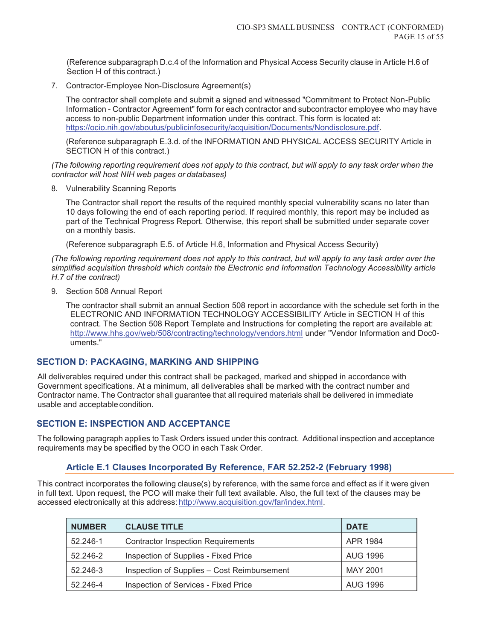(Reference subparagraph D.c.4 of the Information and Physical Access Security clause in Article H.6 of Section H of this contract.)

7. Contractor-Employee Non-Disclosure Agreement(s)

The contractor shall complete and submit a signed and witnessed "Commitment to Protect Non-Public Information - Contractor Agreement" form for each contractor and subcontractor employee who may have access to non-public Department information under this contract. This form is located at: https://ocio.nih.gov/aboutus/publicinfosecurity/acquisition/Documents/Nondisclosure.pdf.

(Reference subparagraph E.3.d. of the INFORMATION AND PHYSICAL ACCESS SECURITY Article in SECTION H of this contract.)

*(The following reporting requirement does not apply to this contract, but will apply to any task order when the contractor will host NIH web pages or databases)* 

8. Vulnerability Scanning Reports

The Contractor shall report the results of the required monthly special vulnerability scans no later than 10 days following the end of each reporting period. If required monthly, this report may be included as part of the Technical Progress Report. Otherwise, this report shall be submitted under separate cover on a monthly basis.

(Reference subparagraph E.5. of Article H.6, Information and Physical Access Security)

*(The following reporting requirement does not apply to this contract, but will apply to any task order over the simplified acquisition threshold which contain the Electronic and Information Technology Accessibility article H.7 of the contract)* 

9. Section 508 Annual Report

The contractor shall submit an annual Section 508 report in accordance with the schedule set forth in the ELECTRONIC AND INFORMATION TECHNOLOGY ACCESSIBILITY Article in SECTION H of this contract. The Section 508 Report Template and Instructions for completing the report are available at: http://www.hhs.gov/web/508/contracting/technology/vendors.html under "Vendor Information and Doc0 uments."

## **SECTION D: PACKAGING, MARKING AND SHIPPING**

All deliverables required under this contract shall be packaged, marked and shipped in accordance with Government specifications. At a minimum, all deliverables shall be marked with the contract number and Contractor name. The Contractor shall guarantee that all required materials shall be delivered in immediate usable and acceptable condition.

## **SECTION E: INSPECTION AND ACCEPTANCE**

The following paragraph applies to Task Orders issued under this contract. Additional inspection and acceptance requirements may be specified by the OCO in each Task Order.

## **Article E.1 Clauses Incorporated By Reference, FAR 52.252-2 (February 1998)**

This contract incorporates the following clause(s) by reference, with the same force and effect as if it were given in full text. Upon request, the PCO will make their full text available. Also, the full text of the clauses may be accessed electronically at this address: http://www.acquisition.gov/far/index.html.

| <b>NUMBER</b> | <b>CLAUSE TITLE</b><br><b>DATE</b>          |                 |
|---------------|---------------------------------------------|-----------------|
| 52.246-1      | <b>Contractor Inspection Requirements</b>   | APR 1984        |
| 52.246-2      | Inspection of Supplies - Fixed Price        | <b>AUG 1996</b> |
| 52.246-3      | Inspection of Supplies - Cost Reimbursement | <b>MAY 2001</b> |
| 52.246-4      | Inspection of Services - Fixed Price        | <b>AUG 1996</b> |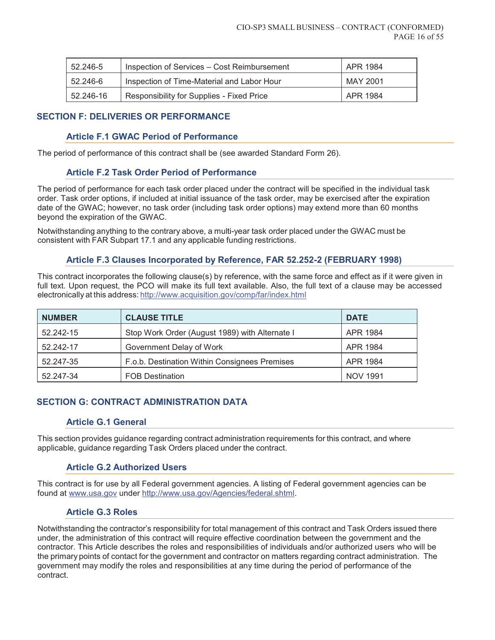| 52.246-5                                                           | Inspection of Services – Cost Reimbursement<br>APR 1984 |          |
|--------------------------------------------------------------------|---------------------------------------------------------|----------|
| MAY 2001<br>Inspection of Time-Material and Labor Hour<br>52.246-6 |                                                         |          |
| Responsibility for Supplies - Fixed Price<br>52.246-16             |                                                         | APR 1984 |

# **SECTION F: DELIVERIES OR PERFORMANCE**

## **Article F.1 GWAC Period of Performance**

The period of performance of this contract shall be (see awarded Standard Form 26).

## **Article F.2 Task Order Period of Performance**

The period of performance for each task order placed under the contract will be specified in the individual task order. Task order options, if included at initial issuance of the task order, may be exercised after the expiration date of the GWAC; however, no task order (including task order options) may extend more than 60 months beyond the expiration of the GWAC.

Notwithstanding anything to the contrary above, a multi-year task order placed under the GWAC must be consistent with FAR Subpart 17.1 and any applicable funding restrictions.

# **Article F.3 Clauses Incorporated by Reference, FAR 52.252-2 (FEBRUARY 1998)**

This contract incorporates the following clause(s) by reference, with the same force and effect as if it were given in full text. Upon request, the PCO will make its full text available. Also, the full text of a clause may be accessed electronically at this address: http://www.acquisition.gov/comp/far/index.html

| <b>NUMBER</b> | <b>CLAUSE TITLE</b>                            | <b>DATE</b>     |
|---------------|------------------------------------------------|-----------------|
| 52.242-15     | Stop Work Order (August 1989) with Alternate I | APR 1984        |
| 52.242-17     | Government Delay of Work                       | APR 1984        |
| 52.247-35     | F.o.b. Destination Within Consignees Premises  | APR 1984        |
| 52.247-34     | <b>FOB Destination</b>                         | <b>NOV 1991</b> |

# **SECTION G: CONTRACT ADMINISTRATION DATA**

## **Article G.1 General**

This section provides guidance regarding contract administration requirements for this contract, and where applicable, guidance regarding Task Orders placed under the contract.

## **Article G.2 Authorized Users**

This contract is for use by all Federal government agencies. A listing of Federal government agencies can be found at www.usa.gov under http://www.usa.gov/Agencies/federal.shtml.

## **Article G.3 Roles**

Notwithstanding the contractor's responsibility for total management of this contract and Task Orders issued there under, the administration of this contract will require effective coordination between the government and the contractor. This Article describes the roles and responsibilities of individuals and/or authorized users who will be the primary points of contact for the government and contractor on matters regarding contract administration. The government may modify the roles and responsibilities at any time during the period of performance of the contract.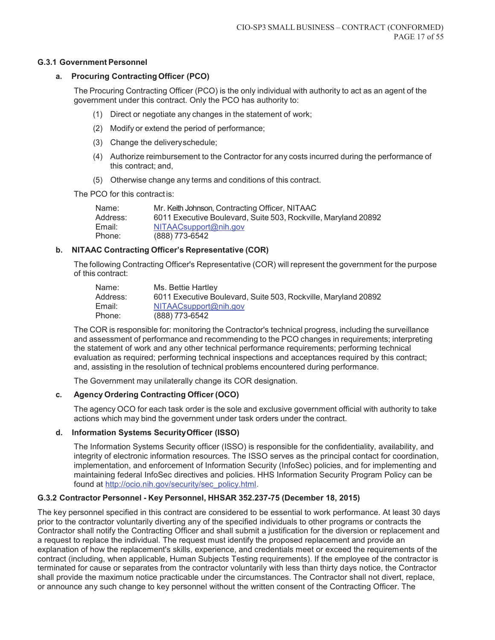#### **G.3.1 Government Personnel**

#### **a. Procuring Contracting Officer (PCO)**

The Procuring Contracting Officer (PCO) is the only individual with authority to act as an agent of the government under this contract. Only the PCO has authority to:

- (1) Direct or negotiate any changes in the statement of work;
- (2) Modify or extend the period of performance;
- (3) Change the delivery schedule;
- (4) Authorize reimbursement to the Contractor for any costs incurred during the performance of this contract; and,
- (5) Otherwise change any terms and conditions of this contract.

The PCO for this contract is:

| Mr. Keith Johnson, Contracting Officer, NITAAC                 |
|----------------------------------------------------------------|
| 6011 Executive Boulevard, Suite 503, Rockville, Maryland 20892 |
| NITAACsupport@nih.gov                                          |
| (888) 773-6542                                                 |
|                                                                |

#### **b. NITAAC Contracting Officer's Representative (COR)**

The following Contracting Officer's Representative (COR) will represent the government for the purpose of this contract:

| Name:    | Ms. Bettie Hartley                                             |
|----------|----------------------------------------------------------------|
| Address: | 6011 Executive Boulevard, Suite 503, Rockville, Maryland 20892 |
| Email:   | NITAACsupport@nih.gov                                          |
| Phone:   | (888) 773-6542                                                 |

The COR is responsible for: monitoring the Contractor's technical progress, including the surveillance and assessment of performance and recommending to the PCO changes in requirements; interpreting the statement of work and any other technical performance requirements; performing technical evaluation as required; performing technical inspections and acceptances required by this contract; and, assisting in the resolution of technical problems encountered during performance.

The Government may unilaterally change its COR designation.

## **c. Agency Ordering Contracting Officer (OCO)**

The agency OCO for each task order is the sole and exclusive government official with authority to take actions which may bind the government under task orders under the contract.

## **d. Information Systems Security Officer (ISSO)**

The Information Systems Security officer (ISSO) is responsible for the confidentiality, availability, and integrity of electronic information resources. The ISSO serves as the principal contact for coordination, implementation, and enforcement of Information Security (InfoSec) policies, and for implementing and maintaining federal InfoSec directives and policies. HHS Information Security Program Policy can be found at http://ocio.nih.gov/security/sec\_policy.html.

# **G.3.2 Contractor Personnel - Key Personnel, HHSAR 352.237-75 (December 18, 2015)**

The key personnel specified in this contract are considered to be essential to work performance. At least 30 days prior to the contractor voluntarily diverting any of the specified individuals to other programs or contracts the Contractor shall notify the Contracting Officer and shall submit a justification for the diversion or replacement and a request to replace the individual. The request must identify the proposed replacement and provide an explanation of how the replacement's skills, experience, and credentials meet or exceed the requirements of the contract (including, when applicable, Human Subjects Testing requirements). If the employee of the contractor is terminated for cause or separates from the contractor voluntarily with less than thirty days notice, the Contractor shall provide the maximum notice practicable under the circumstances. The Contractor shall not divert, replace, or announce any such change to key personnel without the written consent of the Contracting Officer. The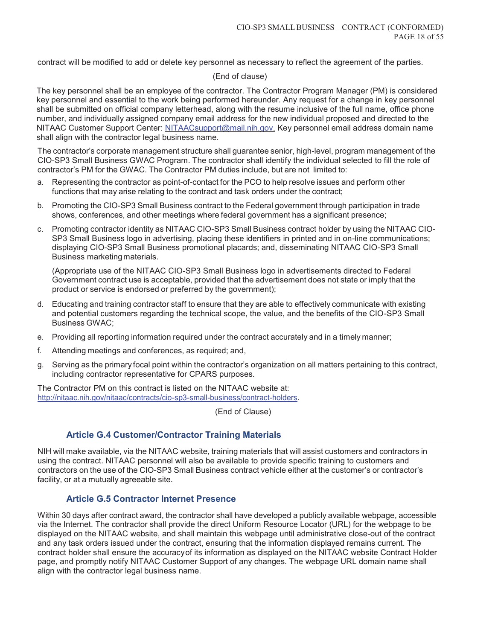contract will be modified to add or delete key personnel as necessary to reflect the agreement of the parties.

#### (End of clause)

The key personnel shall be an employee of the contractor. The Contractor Program Manager (PM) is considered key personnel and essential to the work being performed hereunder. Any request for a change in key personnel shall be submitted on official company letterhead, along with the resume inclusive of the full name, office phone number, and individually assigned company email address for the new individual proposed and directed to the NITAAC Customer Support Center: NITAACsupport@mail.nih.gov. Key personnel email address domain name shall align with the contractor legal business name.

The contractor's corporate management structure shall guarantee senior, high-level, program management of the CIO-SP3 Small Business GWAC Program. The contractor shall identify the individual selected to fill the role of contractor's PM for the GWAC. The Contractor PM duties include, but are not limited to:

- a. Representing the contractor as point-of-contact for the PCO to help resolve issues and perform other functions that may arise relating to the contract and task orders under the contract;
- b. Promoting the CIO-SP3 Small Business contract to the Federal government through participation in trade shows, conferences, and other meetings where federal government has a significant presence;
- c. Promoting contractor identity as NITAAC CIO-SP3 Small Business contract holder by using the NITAAC CIO-SP3 Small Business logo in advertising, placing these identifiers in printed and in on-line communications; displaying CIO-SP3 Small Business promotional placards; and, disseminating NITAAC CIO-SP3 Small Business marketing materials.

(Appropriate use of the NITAAC CIO-SP3 Small Business logo in advertisements directed to Federal Government contract use is acceptable, provided that the advertisement does not state or imply that the product or service is endorsed or preferred by the government);

- d. Educating and training contractor staff to ensure that they are able to effectively communicate with existing and potential customers regarding the technical scope, the value, and the benefits of the CIO-SP3 Small Business GWAC;
- e. Providing all reporting information required under the contract accurately and in a timely manner;
- f. Attending meetings and conferences, as required; and,
- g. Serving as the primary focal point within the contractor's organization on all matters pertaining to this contract, including contractor representative for CPARS purposes.

The Contractor PM on this contract is listed on the NITAAC website at: http://nitaac.nih.gov/nitaac/contracts/cio-sp3-small-business/contract-holders.

(End of Clause)

# **Article G.4 Customer/Contractor Training Materials**

NIH will make available, via the NITAAC website, training materials that will assist customers and contractors in using the contract. NITAAC personnel will also be available to provide specific training to customers and contractors on the use of the CIO-SP3 Small Business contract vehicle either at the customer's or contractor's facility, or at a mutually agreeable site.

# **Article G.5 Contractor Internet Presence**

Within 30 days after contract award, the contractor shall have developed a publicly available webpage, accessible via the Internet. The contractor shall provide the direct Uniform Resource Locator (URL) for the webpage to be displayed on the NITAAC website, and shall maintain this webpage until administrative close-out of the contract and any task orders issued under the contract, ensuring that the information displayed remains current. The contract holder shall ensure the accuracy of its information as displayed on the NITAAC website Contract Holder page, and promptly notify NITAAC Customer Support of any changes. The webpage URL domain name shall align with the contractor legal business name.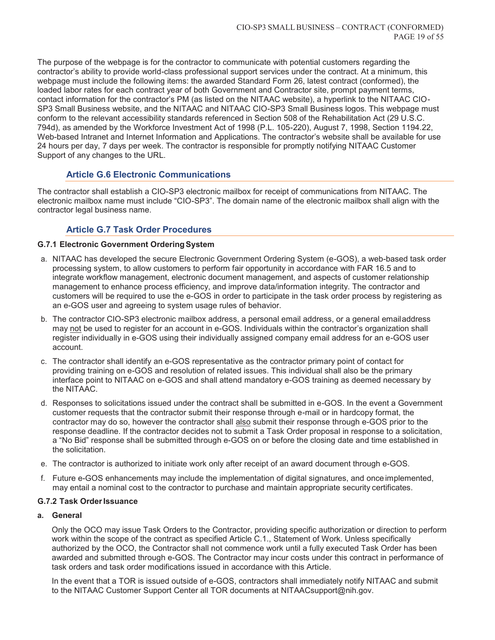The purpose of the webpage is for the contractor to communicate with potential customers regarding the contractor's ability to provide world-class professional support services under the contract. At a minimum, this webpage must include the following items: the awarded Standard Form 26, latest contract (conformed), the loaded labor rates for each contract year of both Government and Contractor site, prompt payment terms, contact information for the contractor's PM (as listed on the NITAAC website), a hyperlink to the NITAAC CIO-SP3 Small Business website, and the NITAAC and NITAAC CIO-SP3 Small Business logos. This webpage must conform to the relevant accessibility standards referenced in Section 508 of the Rehabilitation Act (29 U.S.C. 794d), as amended by the Workforce Investment Act of 1998 (P.L. 105-220), August 7, 1998, Section 1194.22, Web-based Intranet and Internet Information and Applications. The contractor's website shall be available for use 24 hours per day, 7 days per week. The contractor is responsible for promptly notifying NITAAC Customer Support of any changes to the URL.

# **Article G.6 Electronic Communications**

The contractor shall establish a CIO-SP3 electronic mailbox for receipt of communications from NITAAC. The electronic mailbox name must include "CIO-SP3". The domain name of the electronic mailbox shall align with the contractor legal business name.

# **Article G.7 Task Order Procedures**

## **G.7.1 Electronic Government Ordering System**

- a. NITAAC has developed the secure Electronic Government Ordering System (e-GOS), a web-based task order processing system, to allow customers to perform fair opportunity in accordance with FAR 16.5 and to integrate workflow management, electronic document management, and aspects of customer relationship management to enhance process efficiency, and improve data/information integrity. The contractor and customers will be required to use the e-GOS in order to participate in the task order process by registering as an e-GOS user and agreeing to system usage rules of behavior.
- b. The contractor CIO-SP3 electronic mailbox address, a personal email address, or a general email address may not be used to register for an account in e-GOS. Individuals within the contractor's organization shall register individually in e-GOS using their individually assigned company email address for an e-GOS user account.
- c. The contractor shall identify an e-GOS representative as the contractor primary point of contact for providing training on e-GOS and resolution of related issues. This individual shall also be the primary interface point to NITAAC on e-GOS and shall attend mandatory e-GOS training as deemed necessary by the NITAAC.
- d. Responses to solicitations issued under the contract shall be submitted in e-GOS. In the event a Government customer requests that the contractor submit their response through e-mail or in hardcopy format, the contractor may do so, however the contractor shall also submit their response through e-GOS prior to the response deadline. If the contractor decides not to submit a Task Order proposal in response to a solicitation, a "No Bid" response shall be submitted through e-GOS on or before the closing date and time established in the solicitation.
- e. The contractor is authorized to initiate work only after receipt of an award document through e-GOS.
- f. Future e-GOS enhancements may include the implementation of digital signatures, and once implemented, may entail a nominal cost to the contractor to purchase and maintain appropriate security certificates.

#### **G.7.2 Task Order Issuance**

## **a. General**

Only the OCO may issue Task Orders to the Contractor, providing specific authorization or direction to perform work within the scope of the contract as specified Article C.1., Statement of Work. Unless specifically authorized by the OCO, the Contractor shall not commence work until a fully executed Task Order has been awarded and submitted through e-GOS. The Contractor may incur costs under this contract in performance of task orders and task order modifications issued in accordance with this Article.

In the event that a TOR is issued outside of e-GOS, contractors shall immediately notify NITAAC and submit to the NITAAC Customer Support Center all TOR documents at NITAACsupport@nih.gov.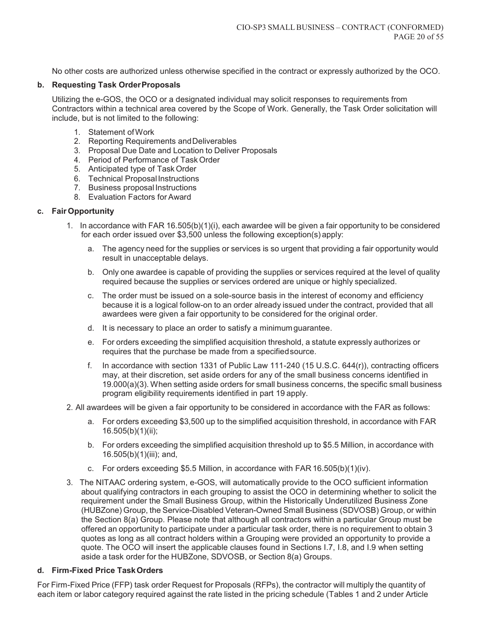No other costs are authorized unless otherwise specified in the contract or expressly authorized by the OCO.

#### **b. Requesting Task Order Proposals**

Utilizing the e-GOS, the OCO or a designated individual may solicit responses to requirements from Contractors within a technical area covered by the Scope of Work. Generally, the Task Order solicitation will include, but is not limited to the following:

- 1. Statement of Work
- 2. Reporting Requirements and Deliverables
- 3. Proposal Due Date and Location to Deliver Proposals
- 4. Period of Performance of Task Order
- 5. Anticipated type of Task Order
- 6. Technical Proposal Instructions
- 7. Business proposal Instructions
- 8. Evaluation Factors for Award

#### **c. Fair Opportunity**

- 1. In accordance with FAR 16.505(b)(1)(i), each awardee will be given a fair opportunity to be considered for each order issued over \$3,500 unless the following exception(s) apply:
	- a. The agency need for the supplies or services is so urgent that providing a fair opportunity would result in unacceptable delays.
	- b. Only one awardee is capable of providing the supplies or services required at the level of quality required because the supplies or services ordered are unique or highly specialized.
	- c. The order must be issued on a sole-source basis in the interest of economy and efficiency because it is a logical follow-on to an order already issued under the contract, provided that all awardees were given a fair opportunity to be considered for the original order.
	- d. It is necessary to place an order to satisfy a minimum guarantee.
	- e. For orders exceeding the simplified acquisition threshold, a statute expressly authorizes or requires that the purchase be made from a specified source.
	- f. In accordance with section 1331 of Public Law 111-240 (15 U.S.C. 644(r)), contracting officers may, at their discretion, set aside orders for any of the small business concerns identified in 19.000(a)(3). When setting aside orders for small business concerns, the specific small business program eligibility requirements identified in part 19 apply.
- 2. All awardees will be given a fair opportunity to be considered in accordance with the FAR as follows:
	- a. For orders exceeding \$3,500 up to the simplified acquisition threshold, in accordance with FAR 16.505(b)(1)(ii);
	- b. For orders exceeding the simplified acquisition threshold up to \$5.5 Million, in accordance with 16.505(b)(1)(iii); and,
	- c. For orders exceeding \$5.5 Million, in accordance with FAR 16.505(b)(1)(iv).
- 3. The NITAAC ordering system, e-GOS, will automatically provide to the OCO sufficient information about qualifying contractors in each grouping to assist the OCO in determining whether to solicit the requirement under the Small Business Group, within the Historically Underutilized Business Zone (HUBZone) Group, the Service-Disabled Veteran-Owned Small Business (SDVOSB) Group, or within the Section 8(a) Group. Please note that although all contractors within a particular Group must be offered an opportunity to participate under a particular task order, there is no requirement to obtain 3 quotes as long as all contract holders within a Grouping were provided an opportunity to provide a quote. The OCO will insert the applicable clauses found in Sections I.7, I.8, and I.9 when setting aside a task order for the HUBZone, SDVOSB, or Section 8(a) Groups.

#### **d. Firm-Fixed Price Task Orders**

For Firm-Fixed Price (FFP) task order Request for Proposals (RFPs), the contractor will multiply the quantity of each item or labor category required against the rate listed in the pricing schedule (Tables 1 and 2 under Article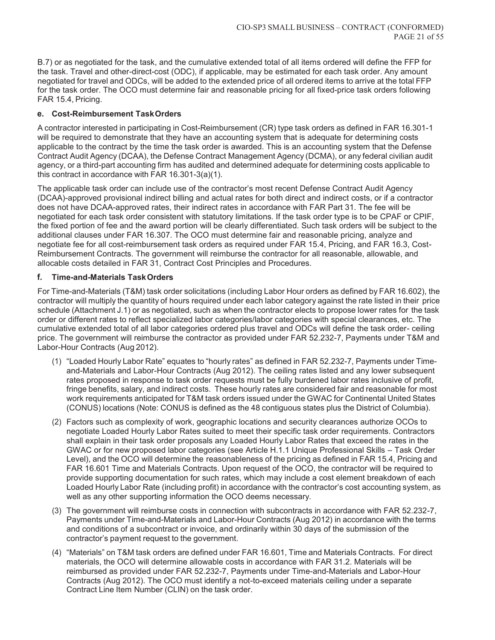B.7) or as negotiated for the task, and the cumulative extended total of all items ordered will define the FFP for the task. Travel and other-direct-cost (ODC), if applicable, may be estimated for each task order. Any amount negotiated for travel and ODCs, will be added to the extended price of all ordered items to arrive at the total FFP for the task order. The OCO must determine fair and reasonable pricing for all fixed-price task orders following FAR 15.4, Pricing.

# **e. Cost-Reimbursement Task Orders**

A contractor interested in participating in Cost-Reimbursement (CR) type task orders as defined in FAR 16.301-1 will be required to demonstrate that they have an accounting system that is adequate for determining costs applicable to the contract by the time the task order is awarded. This is an accounting system that the Defense Contract Audit Agency (DCAA), the Defense Contract Management Agency (DCMA), or any federal civilian audit agency, or a third-part accounting firm has audited and determined adequate for determining costs applicable to this contract in accordance with FAR 16.301-3(a)(1).

The applicable task order can include use of the contractor's most recent Defense Contract Audit Agency (DCAA)-approved provisional indirect billing and actual rates for both direct and indirect costs, or if a contractor does not have DCAA-approved rates, their indirect rates in accordance with FAR Part 31. The fee will be negotiated for each task order consistent with statutory limitations. If the task order type is to be CPAF or CPIF, the fixed portion of fee and the award portion will be clearly differentiated. Such task orders will be subject to the additional clauses under FAR 16.307. The OCO must determine fair and reasonable pricing, analyze and negotiate fee for all cost-reimbursement task orders as required under FAR 15.4, Pricing, and FAR 16.3, Cost-Reimbursement Contracts. The government will reimburse the contractor for all reasonable, allowable, and allocable costs detailed in FAR 31, Contract Cost Principles and Procedures.

## **f. Time-and-Materials Task Orders**

For Time-and-Materials (T&M) task order solicitations (including Labor Hour orders as defined by FAR 16.602), the contractor will multiply the quantity of hours required under each labor category against the rate listed in their price schedule (Attachment J.1) or as negotiated, such as when the contractor elects to propose lower rates for the task order or different rates to reflect specialized labor categories/labor categories with special clearances, etc. The cumulative extended total of all labor categories ordered plus travel and ODCs will define the task order- ceiling price. The government will reimburse the contractor as provided under FAR 52.232-7, Payments under T&M and Labor-Hour Contracts (Aug 2012).

- (1) "Loaded Hourly Labor Rate" equates to "hourly rates" as defined in FAR 52.232-7, Payments under Timeand-Materials and Labor-Hour Contracts (Aug 2012). The ceiling rates listed and any lower subsequent rates proposed in response to task order requests must be fully burdened labor rates inclusive of profit, fringe benefits, salary, and indirect costs. These hourly rates are considered fair and reasonable for most work requirements anticipated for T&M task orders issued under the GWAC for Continental United States (CONUS) locations (Note: CONUS is defined as the 48 contiguous states plus the District of Columbia).
- (2) Factors such as complexity of work, geographic locations and security clearances authorize OCOs to negotiate Loaded Hourly Labor Rates suited to meet their specific task order requirements. Contractors shall explain in their task order proposals any Loaded Hourly Labor Rates that exceed the rates in the GWAC or for new proposed labor categories (see Article H.1.1 Unique Professional Skills – Task Order Level), and the OCO will determine the reasonableness of the pricing as defined in FAR 15.4, Pricing and FAR 16.601 Time and Materials Contracts. Upon request of the OCO, the contractor will be required to provide supporting documentation for such rates, which may include a cost element breakdown of each Loaded Hourly Labor Rate (including profit) in accordance with the contractor's cost accounting system, as well as any other supporting information the OCO deems necessary.
- (3) The government will reimburse costs in connection with subcontracts in accordance with FAR 52.232-7, Payments under Time-and-Materials and Labor-Hour Contracts (Aug 2012) in accordance with the terms and conditions of a subcontract or invoice, and ordinarily within 30 days of the submission of the contractor's payment request to the government.
- (4) "Materials" on T&M task orders are defined under FAR 16.601, Time and Materials Contracts. For direct materials, the OCO will determine allowable costs in accordance with FAR 31.2. Materials will be reimbursed as provided under FAR 52.232-7, Payments under Time-and-Materials and Labor-Hour Contracts (Aug 2012). The OCO must identify a not-to-exceed materials ceiling under a separate Contract Line Item Number (CLIN) on the task order.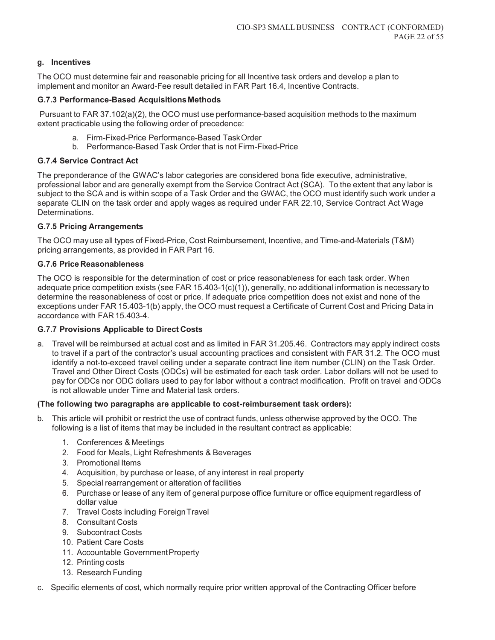## **g. Incentives**

The OCO must determine fair and reasonable pricing for all Incentive task orders and develop a plan to implement and monitor an Award-Fee result detailed in FAR Part 16.4, Incentive Contracts.

## **G.7.3 Performance-Based Acquisitions Methods**

Pursuant to FAR 37.102(a)(2), the OCO must use performance-based acquisition methods to the maximum extent practicable using the following order of precedence:

- a. Firm-Fixed-Price Performance-Based Task Order
- b. Performance-Based Task Order that is not Firm-Fixed-Price

# **G.7.4 Service Contract Act**

The preponderance of the GWAC's labor categories are considered bona fide executive, administrative, professional labor and are generally exempt from the Service Contract Act (SCA). To the extent that any labor is subject to the SCA and is within scope of a Task Order and the GWAC, the OCO must identify such work under a separate CLIN on the task order and apply wages as required under FAR 22.10, Service Contract Act Wage Determinations.

## **G.7.5 Pricing Arrangements**

The OCO may use all types of Fixed-Price, Cost Reimbursement, Incentive, and Time-and-Materials (T&M) pricing arrangements, as provided in FAR Part 16.

## **G.7.6 Price Reasonableness**

The OCO is responsible for the determination of cost or price reasonableness for each task order. When adequate price competition exists (see FAR 15.403-1(c)(1)), generally, no additional information is necessary to determine the reasonableness of cost or price. If adequate price competition does not exist and none of the exceptions under FAR 15.403-1(b) apply, the OCO must request a Certificate of Current Cost and Pricing Data in accordance with FAR 15.403-4.

## **G.7.7 Provisions Applicable to Direct Costs**

a. Travel will be reimbursed at actual cost and as limited in FAR 31.205.46. Contractors may apply indirect costs to travel if a part of the contractor's usual accounting practices and consistent with FAR 31.2. The OCO must identify a not-to-exceed travel ceiling under a separate contract line item number (CLIN) on the Task Order. Travel and Other Direct Costs (ODCs) will be estimated for each task order. Labor dollars will not be used to pay for ODCs nor ODC dollars used to pay for labor without a contract modification. Profit on travel and ODCs is not allowable under Time and Material task orders.

## **(The following two paragraphs are applicable to cost-reimbursement task orders):**

- b. This article will prohibit or restrict the use of contract funds, unless otherwise approved by the OCO. The following is a list of items that may be included in the resultant contract as applicable:
	- 1. Conferences & Meetings
	- 2. Food for Meals, Light Refreshments & Beverages
	- 3. Promotional Items
	- 4. Acquisition, by purchase or lease, of any interest in real property
	- 5. Special rearrangement or alteration of facilities
	- 6. Purchase or lease of any item of general purpose office furniture or office equipment regardless of dollar value
	- 7. Travel Costs including Foreign Travel
	- 8. Consultant Costs
	- 9. Subcontract Costs
	- 10. Patient Care Costs
	- 11. Accountable Government Property
	- 12. Printing costs
	- 13. Research Funding
- c. Specific elements of cost, which normally require prior written approval of the Contracting Officer before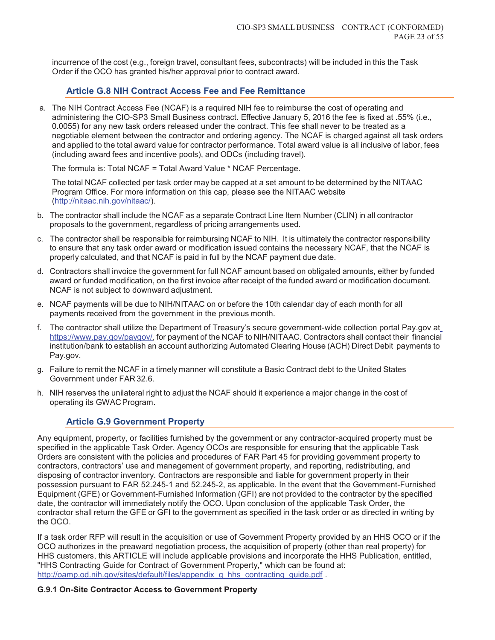incurrence of the cost (e.g., foreign travel, consultant fees, subcontracts) will be included in this the Task Order if the OCO has granted his/her approval prior to contract award.

# **Article G.8 NIH Contract Access Fee and Fee Remittance**

a. The NIH Contract Access Fee (NCAF) is a required NIH fee to reimburse the cost of operating and administering the CIO-SP3 Small Business contract. Effective January 5, 2016 the fee is fixed at .55% (i.e., 0.0055) for any new task orders released under the contract. This fee shall never to be treated as a negotiable element between the contractor and ordering agency. The NCAF is charged against all task orders and applied to the total award value for contractor performance. Total award value is all inclusive of labor, fees (including award fees and incentive pools), and ODCs (including travel).

The formula is: Total NCAF = Total Award Value \* NCAF Percentage.

The total NCAF collected per task order may be capped at a set amount to be determined by the NITAAC Program Office. For more information on this cap, please see the NITAAC website (http://nitaac.nih.gov/nitaac/).

- b. The contractor shall include the NCAF as a separate Contract Line Item Number (CLIN) in all contractor proposals to the government, regardless of pricing arrangements used.
- c. The contractor shall be responsible for reimbursing NCAF to NIH. It is ultimately the contractor responsibility to ensure that any task order award or modification issued contains the necessary NCAF, that the NCAF is properly calculated, and that NCAF is paid in full by the NCAF payment due date.
- d. Contractors shall invoice the government for full NCAF amount based on obligated amounts, either by funded award or funded modification, on the first invoice after receipt of the funded award or modification document. NCAF is not subject to downward adjustment.
- e. NCAF payments will be due to NIH/NITAAC on or before the 10th calendar day of each month for all payments received from the government in the previous month.
- f. The contractor shall utilize the Department of Treasury's secure government-wide collection portal Pay.gov at https://www.pay.gov/paygov/, for payment of the NCAF to NIH/NITAAC. Contractors shall contact their financial institution/bank to establish an account authorizing Automated Clearing House (ACH) Direct Debit payments to Pay.gov.
- g. Failure to remit the NCAF in a timely manner will constitute a Basic Contract debt to the United States Government under FAR 32.6.
- h. NIH reserves the unilateral right to adjust the NCAF should it experience a major change in the cost of operating its GWAC Program.

# **Article G.9 Government Property**

Any equipment, property, or facilities furnished by the government or any contractor-acquired property must be specified in the applicable Task Order. Agency OCOs are responsible for ensuring that the applicable Task Orders are consistent with the policies and procedures of FAR Part 45 for providing government property to contractors, contractors' use and management of government property, and reporting, redistributing, and disposing of contractor inventory. Contractors are responsible and liable for government property in their possession pursuant to FAR 52.245-1 and 52.245-2, as applicable. In the event that the Government-Furnished Equipment (GFE) or Government-Furnished Information (GFI) are not provided to the contractor by the specified date, the contractor will immediately notify the OCO. Upon conclusion of the applicable Task Order, the contractor shall return the GFE or GFI to the government as specified in the task order or as directed in writing by the OCO.

If a task order RFP will result in the acquisition or use of Government Property provided by an HHS OCO or if the OCO authorizes in the preaward negotiation process, the acquisition of property (other than real property) for HHS customers, this ARTICLE will include applicable provisions and incorporate the HHS Publication, entitled, "HHS Contracting Guide for Contract of Government Property," which can be found at: http://oamp.od.nih.gov/sites/default/files/appendix\_q\_hhs\_contracting\_guide.pdf .

#### **G.9.1 On-Site Contractor Access to Government Property**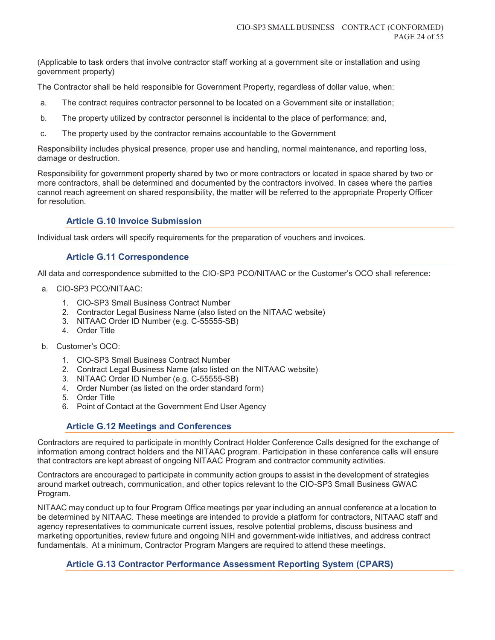(Applicable to task orders that involve contractor staff working at a government site or installation and using government property)

The Contractor shall be held responsible for Government Property, regardless of dollar value, when:

- a. The contract requires contractor personnel to be located on a Government site or installation;
- b. The property utilized by contractor personnel is incidental to the place of performance; and,
- c. The property used by the contractor remains accountable to the Government

Responsibility includes physical presence, proper use and handling, normal maintenance, and reporting loss, damage or destruction.

Responsibility for government property shared by two or more contractors or located in space shared by two or more contractors, shall be determined and documented by the contractors involved. In cases where the parties cannot reach agreement on shared responsibility, the matter will be referred to the appropriate Property Officer for resolution.

# **Article G.10 Invoice Submission**

Individual task orders will specify requirements for the preparation of vouchers and invoices.

## **Article G.11 Correspondence**

All data and correspondence submitted to the CIO-SP3 PCO/NITAAC or the Customer's OCO shall reference:

- a. CIO-SP3 PCO/NITAAC:
	- 1. CIO-SP3 Small Business Contract Number
	- 2. Contractor Legal Business Name (also listed on the NITAAC website)
	- 3. NITAAC Order ID Number (e.g. C-55555-SB)
	- 4. Order Title
- b. Customer's OCO:
	- 1. CIO-SP3 Small Business Contract Number
	- 2. Contract Legal Business Name (also listed on the NITAAC website)
	- 3. NITAAC Order ID Number (e.g. C-55555-SB)
	- 4. Order Number (as listed on the order standard form)
	- 5. Order Title
	- 6. Point of Contact at the Government End User Agency

## **Article G.12 Meetings and Conferences**

Contractors are required to participate in monthly Contract Holder Conference Calls designed for the exchange of information among contract holders and the NITAAC program. Participation in these conference calls will ensure that contractors are kept abreast of ongoing NITAAC Program and contractor community activities.

Contractors are encouraged to participate in community action groups to assist in the development of strategies around market outreach, communication, and other topics relevant to the CIO-SP3 Small Business GWAC Program.

NITAAC may conduct up to four Program Office meetings per year including an annual conference at a location to be determined by NITAAC. These meetings are intended to provide a platform for contractors, NITAAC staff and agency representatives to communicate current issues, resolve potential problems, discuss business and marketing opportunities, review future and ongoing NIH and government-wide initiatives, and address contract fundamentals. At a minimum, Contractor Program Mangers are required to attend these meetings.

## **Article G.13 Contractor Performance Assessment Reporting System (CPARS)**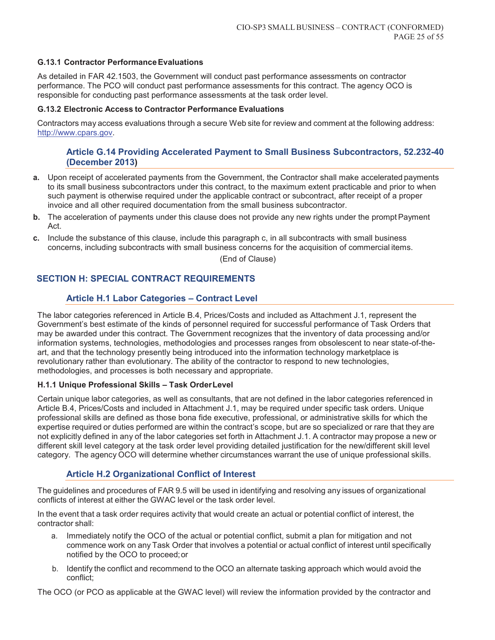## **G.13.1 Contractor Performance Evaluations**

As detailed in FAR 42.1503, the Government will conduct past performance assessments on contractor performance. The PCO will conduct past performance assessments for this contract. The agency OCO is responsible for conducting past performance assessments at the task order level.

#### **G.13.2 Electronic Access to Contractor Performance Evaluations**

Contractors may access evaluations through a secure Web site for review and comment at the following address: http://www.cpars.gov.

## **Article G.14 Providing Accelerated Payment to Small Business Subcontractors, 52.232-40 (December 2013)**

- **a.** Upon receipt of accelerated payments from the Government, the Contractor shall make accelerated payments to its small business subcontractors under this contract, to the maximum extent practicable and prior to when such payment is otherwise required under the applicable contract or subcontract, after receipt of a proper invoice and all other required documentation from the small business subcontractor.
- **b.** The acceleration of payments under this clause does not provide any new rights under the prompt Payment Act.
- **c.** Include the substance of this clause, include this paragraph c, in all subcontracts with small business concerns, including subcontracts with small business concerns for the acquisition of commercial items.

(End of Clause)

# **SECTION H: SPECIAL CONTRACT REQUIREMENTS**

## **Article H.1 Labor Categories – Contract Level**

The labor categories referenced in Article B.4, Prices/Costs and included as Attachment J.1, represent the Government's best estimate of the kinds of personnel required for successful performance of Task Orders that may be awarded under this contract. The Government recognizes that the inventory of data processing and/or information systems, technologies, methodologies and processes ranges from obsolescent to near state-of-theart, and that the technology presently being introduced into the information technology marketplace is revolutionary rather than evolutionary. The ability of the contractor to respond to new technologies, methodologies, and processes is both necessary and appropriate.

#### **H.1.1 Unique Professional Skills – Task Order Level**

Certain unique labor categories, as well as consultants, that are not defined in the labor categories referenced in Article B.4, Prices/Costs and included in Attachment J.1, may be required under specific task orders. Unique professional skills are defined as those bona fide executive, professional, or administrative skills for which the expertise required or duties performed are within the contract's scope, but are so specialized or rare that they are not explicitly defined in any of the labor categories set forth in Attachment J.1. A contractor may propose a new or different skill level category at the task order level providing detailed justification for the new/different skill level category. The agency OCO will determine whether circumstances warrant the use of unique professional skills.

## **Article H.2 Organizational Conflict of Interest**

The guidelines and procedures of FAR 9.5 will be used in identifying and resolving any issues of organizational conflicts of interest at either the GWAC level or the task order level.

In the event that a task order requires activity that would create an actual or potential conflict of interest, the contractor shall:

- a. Immediately notify the OCO of the actual or potential conflict, submit a plan for mitigation and not commence work on any Task Order that involves a potential or actual conflict of interest until specifically notified by the OCO to proceed; or
- b. Identify the conflict and recommend to the OCO an alternate tasking approach which would avoid the conflict;

The OCO (or PCO as applicable at the GWAC level) will review the information provided by the contractor and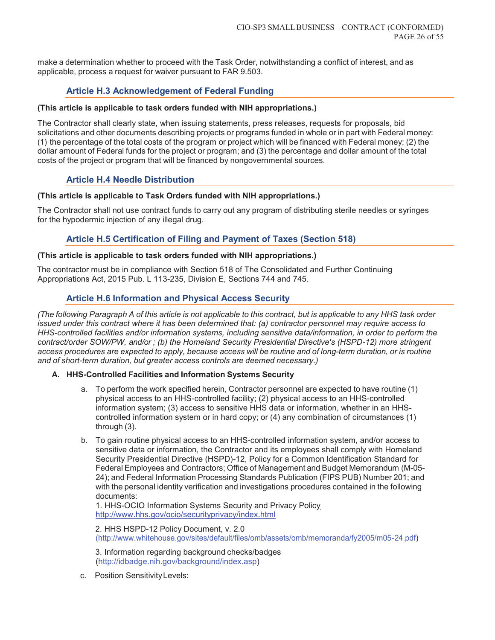make a determination whether to proceed with the Task Order, notwithstanding a conflict of interest, and as applicable, process a request for waiver pursuant to FAR 9.503.

# **Article H.3 Acknowledgement of Federal Funding**

#### **(This article is applicable to task orders funded with NIH appropriations.)**

The Contractor shall clearly state, when issuing statements, press releases, requests for proposals, bid solicitations and other documents describing projects or programs funded in whole or in part with Federal money: (1) the percentage of the total costs of the program or project which will be financed with Federal money; (2) the dollar amount of Federal funds for the project or program; and (3) the percentage and dollar amount of the total costs of the project or program that will be financed by nongovernmental sources.

# **Article H.4 Needle Distribution**

#### **(This article is applicable to Task Orders funded with NIH appropriations.)**

The Contractor shall not use contract funds to carry out any program of distributing sterile needles or syringes for the hypodermic injection of any illegal drug.

# **Article H.5 Certification of Filing and Payment of Taxes (Section 518)**

#### **(This article is applicable to task orders funded with NIH appropriations.)**

The contractor must be in compliance with Section 518 of The Consolidated and Further Continuing Appropriations Act, 2015 Pub. L 113-235, Division E, Sections 744 and 745.

# **Article H.6 Information and Physical Access Security**

*(The following Paragraph A of this article is not applicable to this contract, but is applicable to any HHS task order issued under this contract where it has been determined that: (a) contractor personnel may require access to HHS-controlled facilities and/or information systems, including sensitive data/information, in order to perform the contract/order SOW/PW, and/or ; (b) the Homeland Security Presidential Directive's (HSPD-12) more stringent access procedures are expected to apply, because access will be routine and of long-term duration, or is routine and of short-term duration, but greater access controls are deemed necessary.)* 

#### **A. HHS-Controlled Facilities and Information Systems Security**

- a. To perform the work specified herein, Contractor personnel are expected to have routine (1) physical access to an HHS-controlled facility; (2) physical access to an HHS-controlled information system; (3) access to sensitive HHS data or information, whether in an HHScontrolled information system or in hard copy; or (4) any combination of circumstances (1) through (3).
- b. To gain routine physical access to an HHS-controlled information system, and/or access to sensitive data or information, the Contractor and its employees shall comply with Homeland Security Presidential Directive (HSPD)-12, Policy for a Common Identification Standard for Federal Employees and Contractors; Office of Management and Budget Memorandum (M-05- 24); and Federal Information Processing Standards Publication (FIPS PUB) Number 201; and with the personal identity verification and investigations procedures contained in the following documents:

1. HHS-OCIO Information Systems Security and Privacy Policy http://www.hhs.gov/ocio/securityprivacy/index.html

2. HHS HSPD-12 Policy Document, v. 2.0 (http://www.whitehouse.gov/sites/default/files/omb/assets/omb/memoranda/fy2005/m05-24.pdf)

3. Information regarding background checks/badges (http://idbadge.nih.gov/background/index.asp)

c. Position Sensitivity Levels: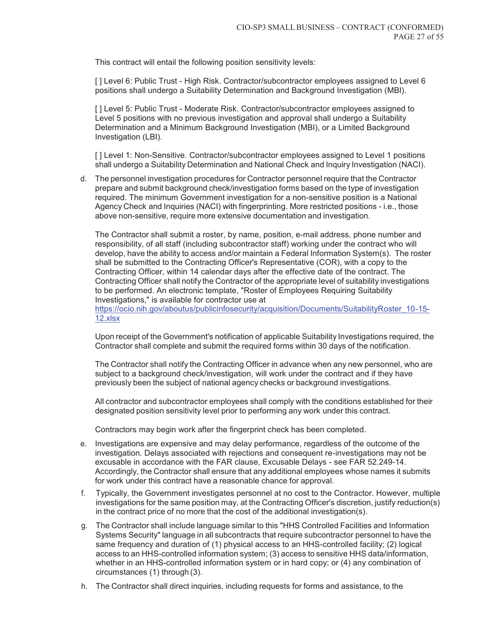This contract will entail the following position sensitivity levels:

[ ] Level 6: Public Trust - High Risk. Contractor/subcontractor employees assigned to Level 6 positions shall undergo a Suitability Determination and Background Investigation (MBI).

[ ] Level 5: Public Trust - Moderate Risk. Contractor/subcontractor employees assigned to Level 5 positions with no previous investigation and approval shall undergo a Suitability Determination and a Minimum Background Investigation (MBI), or a Limited Background Investigation (LBI).

[ ] Level 1: Non-Sensitive. Contractor/subcontractor employees assigned to Level 1 positions shall undergo a Suitability Determination and National Check and Inquiry Investigation (NACI).

d. The personnel investigation procedures for Contractor personnel require that the Contractor prepare and submit background check/investigation forms based on the type of investigation required. The minimum Government investigation for a non-sensitive position is a National Agency Check and Inquiries (NACI) with fingerprinting. More restricted positions - i.e., those above non-sensitive, require more extensive documentation and investigation.

The Contractor shall submit a roster, by name, position, e-mail address, phone number and responsibility, of all staff (including subcontractor staff) working under the contract who will develop, have the ability to access and/or maintain a Federal Information System(s). The roster shall be submitted to the Contracting Officer's Representative (COR), with a copy to the Contracting Officer, within 14 calendar days after the effective date of the contract. The Contracting Officer shall notify the Contractor of the appropriate level of suitability investigations to be performed. An electronic template, "Roster of Employees Requiring Suitability Investigations," is available for contractor use at

https://ocio.nih.gov/aboutus/publicinfosecurity/acquisition/Documents/SuitabilityRoster\_10-15- 12.xlsx

Upon receipt of the Government's notification of applicable Suitability Investigations required, the Contractor shall complete and submit the required forms within 30 days of the notification.

The Contractor shall notify the Contracting Officer in advance when any new personnel, who are subject to a background check/investigation, will work under the contract and if they have previously been the subject of national agency checks or background investigations.

All contractor and subcontractor employees shall comply with the conditions established for their designated position sensitivity level prior to performing any work under this contract.

Contractors may begin work after the fingerprint check has been completed.

- e. Investigations are expensive and may delay performance, regardless of the outcome of the investigation. Delays associated with rejections and consequent re-investigations may not be excusable in accordance with the FAR clause, Excusable Delays - see FAR 52.249-14. Accordingly, the Contractor shall ensure that any additional employees whose names it submits for work under this contract have a reasonable chance for approval.
- f. Typically, the Government investigates personnel at no cost to the Contractor. However, multiple investigations for the same position may, at the Contracting Officer's discretion, justify reduction(s) in the contract price of no more that the cost of the additional investigation(s).
- g. The Contractor shall include language similar to this "HHS Controlled Facilities and Information Systems Security" language in all subcontracts that require subcontractor personnel to have the same frequency and duration of (1) physical access to an HHS-controlled facility; (2) logical access to an HHS-controlled information system; (3) access to sensitive HHS data/information, whether in an HHS-controlled information system or in hard copy; or (4) any combination of circumstances (1) through (3).
- h. The Contractor shall direct inquiries, including requests for forms and assistance, to the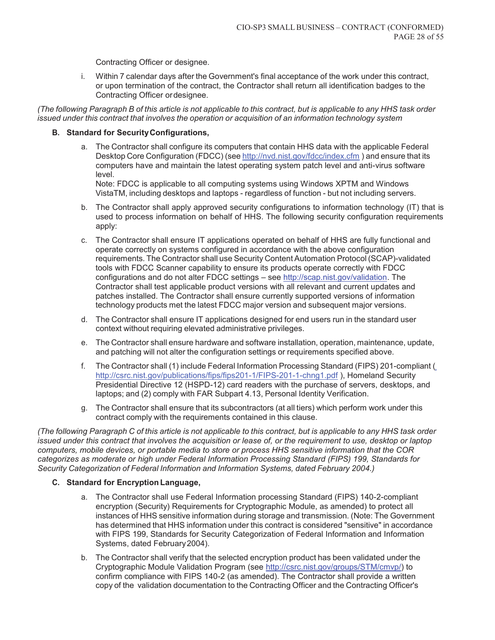Contracting Officer or designee.

i. Within 7 calendar days after the Government's final acceptance of the work under this contract, or upon termination of the contract, the Contractor shall return all identification badges to the Contracting Officer or designee.

*(The following Paragraph B of this article is not applicable to this contract, but is applicable to any HHS task order issued under this contract that involves the operation or acquisition of an information technology system* 

#### **B. Standard for Security Configurations,**

a. The Contractor shall configure its computers that contain HHS data with the applicable Federal Desktop Core Configuration (FDCC) (see http://nvd.nist.gov/fdcc/index.cfm ) and ensure that its computers have and maintain the latest operating system patch level and anti-virus software level.

Note: FDCC is applicable to all computing systems using Windows XPTM and Windows VistaTM, including desktops and laptops - regardless of function - but not including servers.

- b. The Contractor shall apply approved security configurations to information technology (IT) that is used to process information on behalf of HHS. The following security configuration requirements apply:
- c. The Contractor shall ensure IT applications operated on behalf of HHS are fully functional and operate correctly on systems configured in accordance with the above configuration requirements. The Contractor shall use Security Content Automation Protocol (SCAP)-validated tools with FDCC Scanner capability to ensure its products operate correctly with FDCC configurations and do not alter FDCC settings – see http://scap.nist.gov/validation. The Contractor shall test applicable product versions with all relevant and current updates and patches installed. The Contractor shall ensure currently supported versions of information technology products met the latest FDCC major version and subsequent major versions.
- d. The Contractor shall ensure IT applications designed for end users run in the standard user context without requiring elevated administrative privileges.
- e. The Contractor shall ensure hardware and software installation, operation, maintenance, update, and patching will not alter the configuration settings or requirements specified above.
- f. The Contractor shall (1) include Federal Information Processing Standard (FIPS) 201-compliant ( http://csrc.nist.gov/publications/fips/fips201-1/FIPS-201-1-chng1.pdf ), Homeland Security Presidential Directive 12 (HSPD-12) card readers with the purchase of servers, desktops, and laptops; and (2) comply with FAR Subpart 4.13, Personal Identity Verification.
- g. The Contractor shall ensure that its subcontractors (at all tiers) which perform work under this contract comply with the requirements contained in this clause.

*(The following Paragraph C of this article is not applicable to this contract, but is applicable to any HHS task order issued under this contract that involves the acquisition or lease of, or the requirement to use, desktop or laptop computers, mobile devices, or portable media to store or process HHS sensitive information that the COR categorizes as moderate or high under Federal Information Processing Standard (FIPS) 199, Standards for Security Categorization of Federal Information and Information Systems, dated February 2004.)* 

#### **C. Standard for Encryption Language,**

- a. The Contractor shall use Federal Information processing Standard (FIPS) 140-2-compliant encryption (Security) Requirements for Cryptographic Module, as amended) to protect all instances of HHS sensitive information during storage and transmission. (Note: The Government has determined that HHS information under this contract is considered "sensitive" in accordance with FIPS 199, Standards for Security Categorization of Federal Information and Information Systems, dated February 2004).
- b. The Contractor shall verify that the selected encryption product has been validated under the Cryptographic Module Validation Program (see http://csrc.nist.gov/groups/STM/cmvp/) to confirm compliance with FIPS 140-2 (as amended). The Contractor shall provide a written copy of the validation documentation to the Contracting Officer and the Contracting Officer's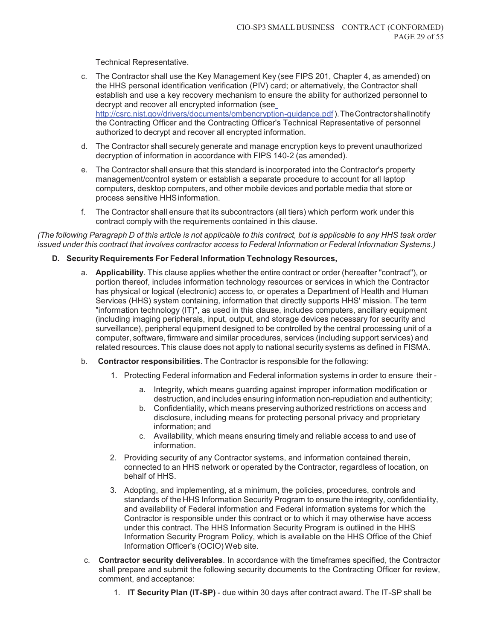Technical Representative.

- c. The Contractor shall use the Key Management Key (see FIPS 201, Chapter 4, as amended) on the HHS personal identification verification (PIV) card; or alternatively, the Contractor shall establish and use a key recovery mechanism to ensure the ability for authorized personnel to decrypt and recover all encrypted information (see http://csrc.nist.gov/drivers/documents/ombencryption-guidance.pdf ). The Contractor shall notify the Contracting Officer and the Contracting Officer's Technical Representative of personnel authorized to decrypt and recover all encrypted information.
- d. The Contractor shall securely generate and manage encryption keys to prevent unauthorized decryption of information in accordance with FIPS 140-2 (as amended).
- e. The Contractor shall ensure that this standard is incorporated into the Contractor's property management/control system or establish a separate procedure to account for all laptop computers, desktop computers, and other mobile devices and portable media that store or process sensitive HHS information.
- f. The Contractor shall ensure that its subcontractors (all tiers) which perform work under this contract comply with the requirements contained in this clause.

*(The following Paragraph D of this article is not applicable to this contract, but is applicable to any HHS task order issued under this contract that involves contractor access to Federal Information or Federal Information Systems.)* 

#### **D. Security Requirements For Federal Information Technology Resources,**

- a. **Applicability**. This clause applies whether the entire contract or order (hereafter "contract"), or portion thereof, includes information technology resources or services in which the Contractor has physical or logical (electronic) access to, or operates a Department of Health and Human Services (HHS) system containing, information that directly supports HHS' mission. The term "information technology (IT)", as used in this clause, includes computers, ancillary equipment (including imaging peripherals, input, output, and storage devices necessary for security and surveillance), peripheral equipment designed to be controlled by the central processing unit of a computer, software, firmware and similar procedures, services (including support services) and related resources. This clause does not apply to national security systems as defined in FISMA.
- b. **Contractor responsibilities**. The Contractor is responsible for the following:
	- 1. Protecting Federal information and Federal information systems in order to ensure their
		- a. Integrity, which means guarding against improper information modification or destruction, and includes ensuring information non-repudiation and authenticity;
		- b. Confidentiality, which means preserving authorized restrictions on access and disclosure, including means for protecting personal privacy and proprietary information; and
		- c. Availability, which means ensuring timely and reliable access to and use of information.
	- 2. Providing security of any Contractor systems, and information contained therein, connected to an HHS network or operated by the Contractor, regardless of location, on behalf of HHS.
	- 3. Adopting, and implementing, at a minimum, the policies, procedures, controls and standards of the HHS Information Security Program to ensure the integrity, confidentiality, and availability of Federal information and Federal information systems for which the Contractor is responsible under this contract or to which it may otherwise have access under this contract. The HHS Information Security Program is outlined in the HHS Information Security Program Policy, which is available on the HHS Office of the Chief Information Officer's (OCIO) Web site.
- c. **Contractor security deliverables**. In accordance with the timeframes specified, the Contractor shall prepare and submit the following security documents to the Contracting Officer for review, comment, and acceptance:
	- 1. **IT Security Plan (IT-SP)**  due within 30 days after contract award. The IT-SP shall be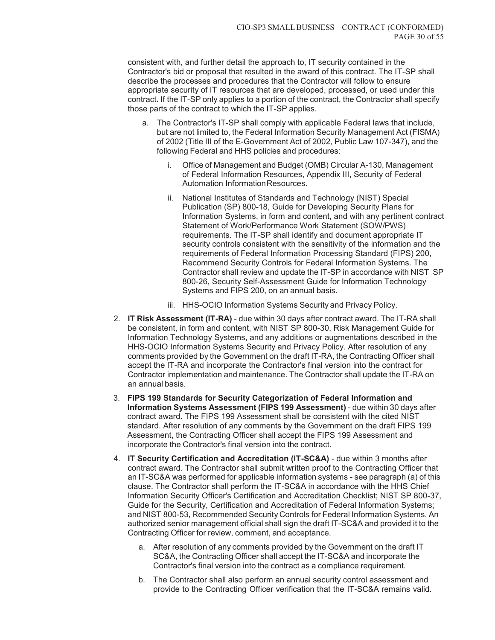consistent with, and further detail the approach to, IT security contained in the Contractor's bid or proposal that resulted in the award of this contract. The IT-SP shall describe the processes and procedures that the Contractor will follow to ensure appropriate security of IT resources that are developed, processed, or used under this contract. If the IT-SP only applies to a portion of the contract, the Contractor shall specify those parts of the contract to which the IT-SP applies.

- a. The Contractor's IT-SP shall comply with applicable Federal laws that include, but are not limited to, the Federal Information Security Management Act (FISMA) of 2002 (Title III of the E-Government Act of 2002, Public Law 107-347), and the following Federal and HHS policies and procedures:
	- i. Office of Management and Budget (OMB) Circular A-130, Management of Federal Information Resources, Appendix III, Security of Federal Automation Information Resources.
	- ii. National Institutes of Standards and Technology (NIST) Special Publication (SP) 800-18, Guide for Developing Security Plans for Information Systems, in form and content, and with any pertinent contract Statement of Work/Performance Work Statement (SOW/PWS) requirements. The IT-SP shall identify and document appropriate IT security controls consistent with the sensitivity of the information and the requirements of Federal Information Processing Standard (FIPS) 200, Recommend Security Controls for Federal Information Systems. The Contractor shall review and update the IT-SP in accordance with NIST SP 800-26, Security Self-Assessment Guide for Information Technology Systems and FIPS 200, on an annual basis.
	- iii. HHS-OCIO Information Systems Security and Privacy Policy.
- 2. **IT Risk Assessment (IT-RA)**  due within 30 days after contract award. The IT-RA shall be consistent, in form and content, with NIST SP 800-30, Risk Management Guide for Information Technology Systems, and any additions or augmentations described in the HHS-OCIO Information Systems Security and Privacy Policy. After resolution of any comments provided by the Government on the draft IT-RA, the Contracting Officer shall accept the IT-RA and incorporate the Contractor's final version into the contract for Contractor implementation and maintenance. The Contractor shall update the IT-RA on an annual basis.
- 3. **FIPS 199 Standards for Security Categorization of Federal Information and Information Systems Assessment (FIPS 199 Assessment)** - due within 30 days after contract award. The FIPS 199 Assessment shall be consistent with the cited NIST standard. After resolution of any comments by the Government on the draft FIPS 199 Assessment, the Contracting Officer shall accept the FIPS 199 Assessment and incorporate the Contractor's final version into the contract.
- 4. **IT Security Certification and Accreditation (IT-SC&A)**  due within 3 months after contract award. The Contractor shall submit written proof to the Contracting Officer that an IT-SC&A was performed for applicable information systems - see paragraph (a) of this clause. The Contractor shall perform the IT-SC&A in accordance with the HHS Chief Information Security Officer's Certification and Accreditation Checklist; NIST SP 800-37, Guide for the Security, Certification and Accreditation of Federal Information Systems; and NIST 800-53, Recommended Security Controls for Federal Information Systems. An authorized senior management official shall sign the draft IT-SC&A and provided it to the Contracting Officer for review, comment, and acceptance.
	- a. After resolution of any comments provided by the Government on the draft IT SC&A, the Contracting Officer shall accept the IT-SC&A and incorporate the Contractor's final version into the contract as a compliance requirement.
	- b. The Contractor shall also perform an annual security control assessment and provide to the Contracting Officer verification that the IT-SC&A remains valid.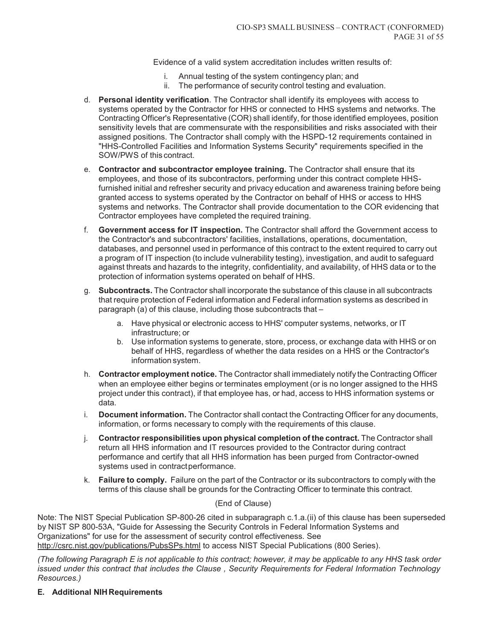Evidence of a valid system accreditation includes written results of:

- i. Annual testing of the system contingency plan; and
- ii. The performance of security control testing and evaluation.
- d. **Personal identity verification**. The Contractor shall identify its employees with access to systems operated by the Contractor for HHS or connected to HHS systems and networks. The Contracting Officer's Representative (COR) shall identify, for those identified employees, position sensitivity levels that are commensurate with the responsibilities and risks associated with their assigned positions. The Contractor shall comply with the HSPD-12 requirements contained in "HHS-Controlled Facilities and Information Systems Security" requirements specified in the SOW/PWS of this contract.
- e. **Contractor and subcontractor employee training.** The Contractor shall ensure that its employees, and those of its subcontractors, performing under this contract complete HHSfurnished initial and refresher security and privacy education and awareness training before being granted access to systems operated by the Contractor on behalf of HHS or access to HHS systems and networks. The Contractor shall provide documentation to the COR evidencing that Contractor employees have completed the required training.
- f. **Government access for IT inspection.** The Contractor shall afford the Government access to the Contractor's and subcontractors' facilities, installations, operations, documentation, databases, and personnel used in performance of this contract to the extent required to carry out a program of IT inspection (to include vulnerability testing), investigation, and audit to safeguard against threats and hazards to the integrity, confidentiality, and availability, of HHS data or to the protection of information systems operated on behalf of HHS.
- g. **Subcontracts.** The Contractor shall incorporate the substance of this clause in all subcontracts that require protection of Federal information and Federal information systems as described in paragraph (a) of this clause, including those subcontracts that –
	- a. Have physical or electronic access to HHS' computer systems, networks, or IT infrastructure; or
	- b. Use information systems to generate, store, process, or exchange data with HHS or on behalf of HHS, regardless of whether the data resides on a HHS or the Contractor's information system.
- h. **Contractor employment notice.** The Contractor shall immediately notify the Contracting Officer when an employee either begins or terminates employment (or is no longer assigned to the HHS project under this contract), if that employee has, or had, access to HHS information systems or data.
- i. **Document information.** The Contractor shall contact the Contracting Officer for any documents, information, or forms necessary to comply with the requirements of this clause.
- j. **Contractor responsibilities upon physical completion of the contract.** The Contractor shall return all HHS information and IT resources provided to the Contractor during contract performance and certify that all HHS information has been purged from Contractor-owned systems used in contract performance.
- k. **Failure to comply.** Failure on the part of the Contractor or its subcontractors to comply with the terms of this clause shall be grounds for the Contracting Officer to terminate this contract.

## (End of Clause)

Note: The NIST Special Publication SP-800-26 cited in subparagraph c.1.a.(ii) of this clause has been superseded by NIST SP 800-53A, "Guide for Assessing the Security Controls in Federal Information Systems and Organizations" for use for the assessment of security control effectiveness. See http://csrc.nist.gov/publications/PubsSPs.html to access NIST Special Publications (800 Series).

*(The following Paragraph E is not applicable to this contract; however, it may be applicable to any HHS task order issued under this contract that includes the Clause , Security Requirements for Federal Information Technology Resources.)* 

## **E. Additional NIH Requirements**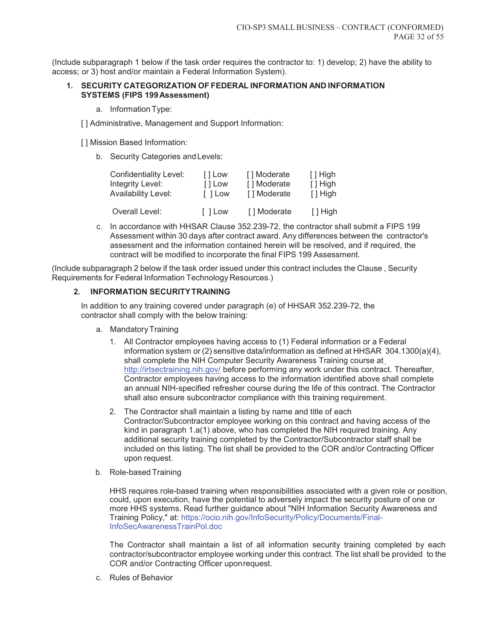(Include subparagraph 1 below if the task order requires the contractor to: 1) develop; 2) have the ability to access; or 3) host and/or maintain a Federal Information System).

#### **1. SECURITY CATEGORIZATION OF FEDERAL INFORMATION AND INFORMATION SYSTEMS (FIPS 199 Assessment)**

a. Information Type:

[ ] Administrative, Management and Support Information:

[] Mission Based Information:

b. Security Categories and Levels:

| <b>Confidentiality Level:</b> | [ Low   | [] Moderate | $\lceil$ High              |
|-------------------------------|---------|-------------|----------------------------|
| Integrity Level:              | [ ] Low | [] Moderate | $\lceil$ High              |
| Availability Level:           | I I Low | [] Moderate | $\lceil$ High              |
| Overall Level:                | [ ] Low | [] Moderate | $\lceil \cdot \rceil$ High |

c. In accordance with HHSAR Clause 352.239-72, the contractor shall submit a FIPS 199 Assessment within 30 days after contract award. Any differences between the contractor's assessment and the information contained herein will be resolved, and if required, the contract will be modified to incorporate the final FIPS 199 Assessment.

(Include subparagraph 2 below if the task order issued under this contract includes the Clause , Security Requirements for Federal Information Technology Resources.)

## **2. INFORMATION SECURITY TRAINING**

In addition to any training covered under paragraph (e) of HHSAR 352.239-72, the contractor shall comply with the below training:

- a. Mandatory Training
	- 1. All Contractor employees having access to (1) Federal information or a Federal information system or  $(2)$  sensitive data/information as defined at HHSAR 304.1300 $(a)(4)$ , shall complete the NIH Computer Security Awareness Training course at http://irtsectraining.nih.gov/ before performing any work under this contract. Thereafter, Contractor employees having access to the information identified above shall complete an annual NIH-specified refresher course during the life of this contract. The Contractor shall also ensure subcontractor compliance with this training requirement.
	- 2. The Contractor shall maintain a listing by name and title of each Contractor/Subcontractor employee working on this contract and having access of the kind in paragraph 1.a(1) above, who has completed the NIH required training. Any additional security training completed by the Contractor/Subcontractor staff shall be included on this listing. The list shall be provided to the COR and/or Contracting Officer upon request.
- b. Role-based Training

HHS requires role-based training when responsibilities associated with a given role or position, could, upon execution, have the potential to adversely impact the security posture of one or more HHS systems. Read further guidance about "NIH Information Security Awareness and Training Policy," at: https://ocio.nih.gov/InfoSecurity/Policy/Documents/Final-InfoSecAwarenessTrainPol.doc

The Contractor shall maintain a list of all information security training completed by each contractor/subcontractor employee working under this contract. The list shall be provided to the COR and/or Contracting Officer upon request.

c. Rules of Behavior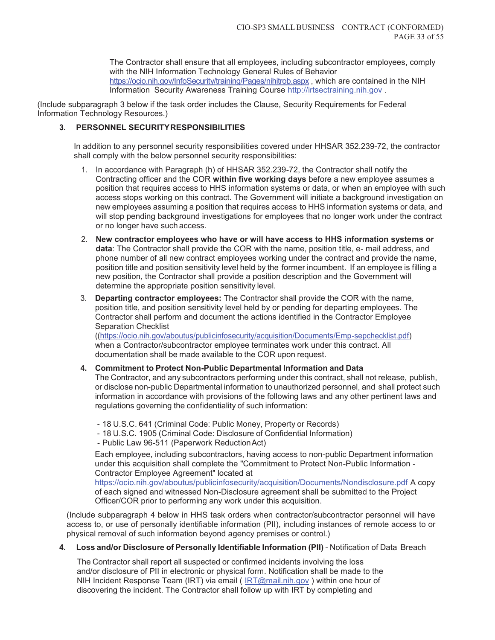The Contractor shall ensure that all employees, including subcontractor employees, comply with the NIH Information Technology General Rules of Behavior https://ocio.nih.gov/InfoSecurity/training/Pages/nihitrob.aspx , which are contained in the NIH Information Security Awareness Training Course http://irtsectraining.nih.gov .

(Include subparagraph 3 below if the task order includes the Clause, Security Requirements for Federal Information Technology Resources.)

## **3. PERSONNEL SECURITY RESPONSIBILITIES**

In addition to any personnel security responsibilities covered under HHSAR 352.239-72, the contractor shall comply with the below personnel security responsibilities:

- 1. In accordance with Paragraph (h) of HHSAR 352.239-72, the Contractor shall notify the Contracting officer and the COR **within five working days** before a new employee assumes a position that requires access to HHS information systems or data, or when an employee with such access stops working on this contract. The Government will initiate a background investigation on new employees assuming a position that requires access to HHS information systems or data, and will stop pending background investigations for employees that no longer work under the contract or no longer have such access.
- 2. **New contractor employees who have or will have access to HHS information systems or data**: The Contractor shall provide the COR with the name, position title, e- mail address, and phone number of all new contract employees working under the contract and provide the name, position title and position sensitivity level held by the former incumbent. If an employee is filling a new position, the Contractor shall provide a position description and the Government will determine the appropriate position sensitivity level.
- 3. **Departing contractor employees:** The Contractor shall provide the COR with the name, position title, and position sensitivity level held by or pending for departing employees. The Contractor shall perform and document the actions identified in the Contractor Employee Separation Checklist

((https://ocio.nih.gov/aboutus/publicinfosecurity/acquisition/Documents/Emp-sepchecklist.pdf) when a Contractor/subcontractor employee terminates work under this contract. All documentation shall be made available to the COR upon request.

#### **4. Commitment to Protect Non-Public Departmental Information and Data**

The Contractor, and any subcontractors performing under this contract, shall not release, publish, or disclose non-public Departmental information to unauthorized personnel, and shall protect such information in accordance with provisions of the following laws and any other pertinent laws and regulations governing the confidentiality of such information:

- 18 U.S.C. 641 (Criminal Code: Public Money, Property or Records)
- 18 U.S.C. 1905 (Criminal Code: Disclosure of Confidential Information)
- Public Law 96-511 (Paperwork Reduction Act)

Each employee, including subcontractors, having access to non-public Department information under this acquisition shall complete the "Commitment to Protect Non-Public Information - Contractor Employee Agreement" located at

https://ocio.nih.gov/aboutus/publicinfosecurity/acquisition/Documents/Nondisclosure.pdf A copy of each signed and witnessed Non-Disclosure agreement shall be submitted to the Project Officer/COR prior to performing any work under this acquisition.

(Include subparagraph 4 below in HHS task orders when contractor/subcontractor personnel will have access to, or use of personally identifiable information (PII), including instances of remote access to or physical removal of such information beyond agency premises or control.)

**4. Loss and/or Disclosure of Personally Identifiable Information (PII)** - Notification of Data Breach

The Contractor shall report all suspected or confirmed incidents involving the loss and/or disclosure of PII in electronic or physical form. Notification shall be made to the NIH Incident Response Team (IRT) via email (IRT@mail.nih.gov) within one hour of discovering the incident. The Contractor shall follow up with IRT by completing and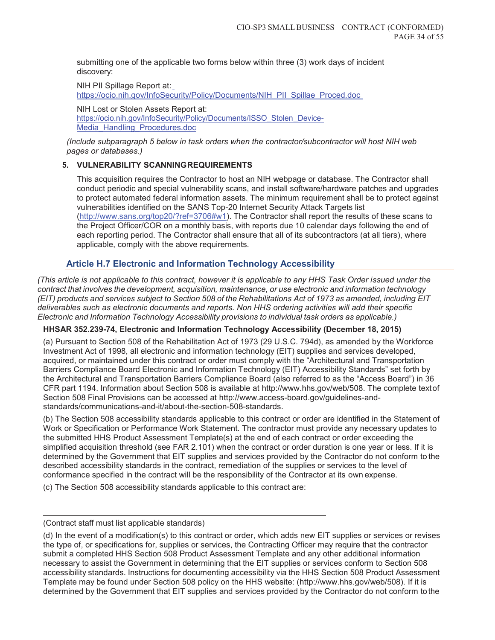submitting one of the applicable two forms below within three (3) work days of incident discovery:

NIH PII Spillage Report at: https://ocio.nih.gov/InfoSecurity/Policy/Documents/NIH\_PII\_Spillae\_Proced.doc

NIH Lost or Stolen Assets Report at: https://ocio.nih.gov/InfoSecurity/Policy/Documents/ISSO\_Stolen\_Device-Media\_Handling\_Procedures.doc

*(Include subparagraph 5 below in task orders when the contractor/subcontractor will host NIH web pages or databases.)* 

# **5. VULNERABILITY SCANNING REQUIREMENTS**

This acquisition requires the Contractor to host an NIH webpage or database. The Contractor shall conduct periodic and special vulnerability scans, and install software/hardware patches and upgrades to protect automated federal information assets. The minimum requirement shall be to protect against vulnerabilities identified on the SANS Top-20 Internet Security Attack Targets list (http://www.sans.org/top20/?ref=3706#w1). The Contractor shall report the results of these scans to the Project Officer/COR on a monthly basis, with reports due 10 calendar days following the end of each reporting period. The Contractor shall ensure that all of its subcontractors (at all tiers), where applicable, comply with the above requirements.

# **Article H.7 Electronic and Information Technology Accessibility**

*(This article is not applicable to this contract, however it is applicable to any HHS Task Order issued under the contract that involves the development, acquisition, maintenance, or use electronic and information technology (EIT) products and services subject to Section 508 of the Rehabilitations Act of 1973 as amended, including EIT deliverables such as electronic documents and reports. Non HHS ordering activities will add their specific Electronic and Information Technology Accessibility provisions to individual task orders as applicable.)* 

# **HHSAR 352.239-74, Electronic and Information Technology Accessibility (December 18, 2015)**

(a) Pursuant to Section 508 of the Rehabilitation Act of 1973 (29 U.S.C. 794d), as amended by the Workforce Investment Act of 1998, all electronic and information technology (EIT) supplies and services developed, acquired, or maintained under this contract or order must comply with the "Architectural and Transportation Barriers Compliance Board Electronic and Information Technology (EIT) Accessibility Standards" set forth by the Architectural and Transportation Barriers Compliance Board (also referred to as the "Access Board") in 36 CFR part 1194. Information about Section 508 is available at http://www.hhs.gov/web/508. The complete text of Section 508 Final Provisions can be accessed at http://www.access-board.gov/guidelines-andstandards/communications-and-it/about-the-section-508-standards.

(b) The Section 508 accessibility standards applicable to this contract or order are identified in the Statement of Work or Specification or Performance Work Statement. The contractor must provide any necessary updates to the submitted HHS Product Assessment Template(s) at the end of each contract or order exceeding the simplified acquisition threshold (see FAR 2.101) when the contract or order duration is one year or less. If it is determined by the Government that EIT supplies and services provided by the Contractor do not conform to the described accessibility standards in the contract, remediation of the supplies or services to the level of conformance specified in the contract will be the responsibility of the Contractor at its own expense.

(c) The Section 508 accessibility standards applicable to this contract are:

<sup>(</sup>Contract staff must list applicable standards)

<sup>(</sup>d) In the event of a modification(s) to this contract or order, which adds new EIT supplies or services or revises the type of, or specifications for, supplies or services, the Contracting Officer may require that the contractor submit a completed HHS Section 508 Product Assessment Template and any other additional information necessary to assist the Government in determining that the EIT supplies or services conform to Section 508 accessibility standards. Instructions for documenting accessibility via the HHS Section 508 Product Assessment Template may be found under Section 508 policy on the HHS website: (http://www.hhs.gov/web/508). If it is determined by the Government that EIT supplies and services provided by the Contractor do not conform to the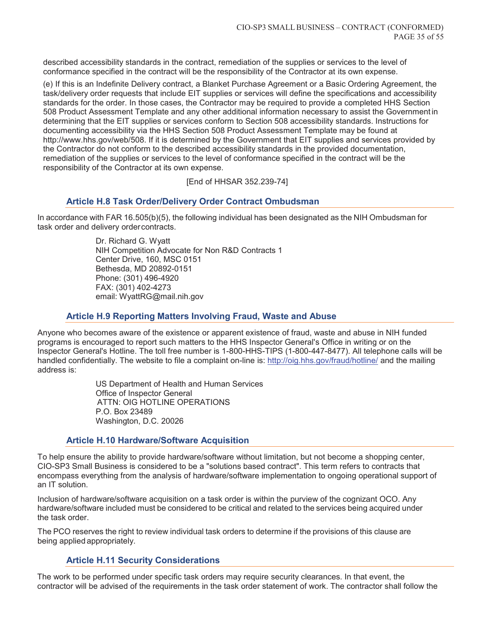described accessibility standards in the contract, remediation of the supplies or services to the level of conformance specified in the contract will be the responsibility of the Contractor at its own expense.

(e) If this is an Indefinite Delivery contract, a Blanket Purchase Agreement or a Basic Ordering Agreement, the task/delivery order requests that include EIT supplies or services will define the specifications and accessibility standards for the order. In those cases, the Contractor may be required to provide a completed HHS Section 508 Product Assessment Template and any other additional information necessary to assist the Government in determining that the EIT supplies or services conform to Section 508 accessibility standards. Instructions for documenting accessibility via the HHS Section 508 Product Assessment Template may be found at http://www.hhs.gov/web/508. If it is determined by the Government that EIT supplies and services provided by the Contractor do not conform to the described accessibility standards in the provided documentation, remediation of the supplies or services to the level of conformance specified in the contract will be the responsibility of the Contractor at its own expense.

[End of HHSAR 352.239-74]

# **Article H.8 Task Order/Delivery Order Contract Ombudsman**

In accordance with FAR 16.505(b)(5), the following individual has been designated as the NIH Ombudsman for task order and delivery order contracts.

> Dr. Richard G. Wyatt NIH Competition Advocate for Non R&D Contracts 1 Center Drive, 160, MSC 0151 Bethesda, MD 20892-0151 Phone: (301) 496-4920 FAX: (301) 402-4273 email: WyattRG@mail.nih.gov

# **Article H.9 Reporting Matters Involving Fraud, Waste and Abuse**

Anyone who becomes aware of the existence or apparent existence of fraud, waste and abuse in NIH funded programs is encouraged to report such matters to the HHS Inspector General's Office in writing or on the Inspector General's Hotline. The toll free number is 1-800-HHS-TIPS (1-800-447-8477). All telephone calls will be handled confidentially. The website to file a complaint on-line is: http://oig.hhs.gov/fraud/hotline/ and the mailing address is:

> US Department of Health and Human Services Office of Inspector General ATTN: OIG HOTLINE OPERATIONS P.O. Box 23489 Washington, D.C. 20026

## **Article H.10 Hardware/Software Acquisition**

To help ensure the ability to provide hardware/software without limitation, but not become a shopping center, CIO-SP3 Small Business is considered to be a "solutions based contract". This term refers to contracts that encompass everything from the analysis of hardware/software implementation to ongoing operational support of an IT solution.

Inclusion of hardware/software acquisition on a task order is within the purview of the cognizant OCO. Any hardware/software included must be considered to be critical and related to the services being acquired under the task order.

The PCO reserves the right to review individual task orders to determine if the provisions of this clause are being applied appropriately.

# **Article H.11 Security Considerations**

The work to be performed under specific task orders may require security clearances. In that event, the contractor will be advised of the requirements in the task order statement of work. The contractor shall follow the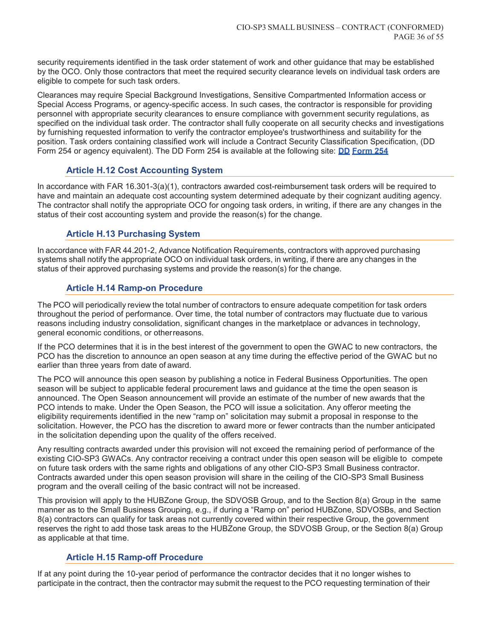security requirements identified in the task order statement of work and other guidance that may be established by the OCO. Only those contractors that meet the required security clearance levels on individual task orders are eligible to compete for such task orders.

Clearances may require Special Background Investigations, Sensitive Compartmented Information access or Special Access Programs, or agency-specific access. In such cases, the contractor is responsible for providing personnel with appropriate security clearances to ensure compliance with government security regulations, as specified on the individual task order. The contractor shall fully cooperate on all security checks and investigations by furnishing requested information to verify the contractor employee's trustworthiness and suitability for the position. Task orders containing classified work will include a Contract Security Classification Specification, (DD Form 254 or agency equivalent). The DD Form 254 is available at the following site: **DD Form 254**

# **Article H.12 Cost Accounting System**

In accordance with FAR 16.301-3(a)(1), contractors awarded cost-reimbursement task orders will be required to have and maintain an adequate cost accounting system determined adequate by their cognizant auditing agency. The contractor shall notify the appropriate OCO for ongoing task orders, in writing, if there are any changes in the status of their cost accounting system and provide the reason(s) for the change.

# **Article H.13 Purchasing System**

In accordance with FAR 44.201-2, Advance Notification Requirements, contractors with approved purchasing systems shall notify the appropriate OCO on individual task orders, in writing, if there are any changes in the status of their approved purchasing systems and provide the reason(s) for the change.

# **Article H.14 Ramp-on Procedure**

The PCO will periodically review the total number of contractors to ensure adequate competition for task orders throughout the period of performance. Over time, the total number of contractors may fluctuate due to various reasons including industry consolidation, significant changes in the marketplace or advances in technology, general economic conditions, or other reasons.

If the PCO determines that it is in the best interest of the government to open the GWAC to new contractors, the PCO has the discretion to announce an open season at any time during the effective period of the GWAC but no earlier than three years from date of award.

The PCO will announce this open season by publishing a notice in Federal Business Opportunities. The open season will be subject to applicable federal procurement laws and guidance at the time the open season is announced. The Open Season announcement will provide an estimate of the number of new awards that the PCO intends to make. Under the Open Season, the PCO will issue a solicitation. Any offeror meeting the eligibility requirements identified in the new "ramp on" solicitation may submit a proposal in response to the solicitation. However, the PCO has the discretion to award more or fewer contracts than the number anticipated in the solicitation depending upon the quality of the offers received.

Any resulting contracts awarded under this provision will not exceed the remaining period of performance of the existing CIO-SP3 GWACs. Any contractor receiving a contract under this open season will be eligible to compete on future task orders with the same rights and obligations of any other CIO-SP3 Small Business contractor. Contracts awarded under this open season provision will share in the ceiling of the CIO-SP3 Small Business program and the overall ceiling of the basic contract will not be increased.

This provision will apply to the HUBZone Group, the SDVOSB Group, and to the Section 8(a) Group in the same manner as to the Small Business Grouping, e.g., if during a "Ramp on" period HUBZone, SDVOSBs, and Section 8(a) contractors can qualify for task areas not currently covered within their respective Group, the government reserves the right to add those task areas to the HUBZone Group, the SDVOSB Group, or the Section 8(a) Group as applicable at that time.

# **Article H.15 Ramp-off Procedure**

If at any point during the 10-year period of performance the contractor decides that it no longer wishes to participate in the contract, then the contractor may submit the request to the PCO requesting termination of their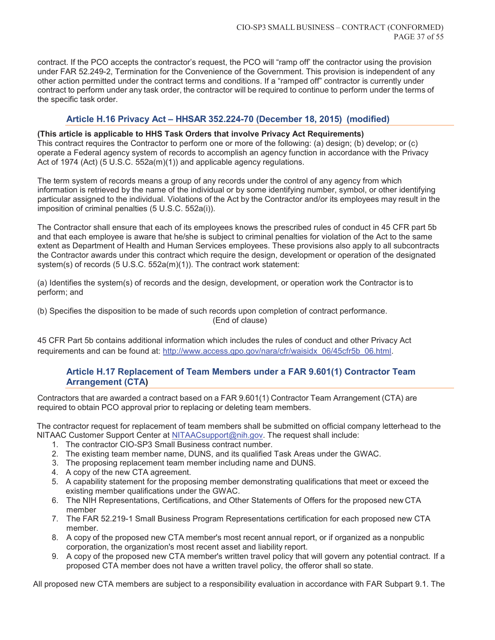contract. If the PCO accepts the contractor's request, the PCO will "ramp off' the contractor using the provision under FAR 52.249-2, Termination for the Convenience of the Government. This provision is independent of any other action permitted under the contract terms and conditions. If a "ramped off" contractor is currently under contract to perform under any task order, the contractor will be required to continue to perform under the terms of the specific task order.

# **Article H.16 Privacy Act – HHSAR 352.224-70 (December 18, 2015) (modified)**

**(This article is applicable to HHS Task Orders that involve Privacy Act Requirements)**  This contract requires the Contractor to perform one or more of the following: (a) design; (b) develop; or (c) operate a Federal agency system of records to accomplish an agency function in accordance with the Privacy Act of 1974 (Act) (5 U.S.C. 552a(m)(1)) and applicable agency regulations.

The term system of records means a group of any records under the control of any agency from which information is retrieved by the name of the individual or by some identifying number, symbol, or other identifying particular assigned to the individual. Violations of the Act by the Contractor and/or its employees may result in the imposition of criminal penalties (5 U.S.C. 552a(i)).

The Contractor shall ensure that each of its employees knows the prescribed rules of conduct in 45 CFR part 5b and that each employee is aware that he/she is subject to criminal penalties for violation of the Act to the same extent as Department of Health and Human Services employees. These provisions also apply to all subcontracts the Contractor awards under this contract which require the design, development or operation of the designated system(s) of records (5 U.S.C. 552a(m)(1)). The contract work statement:

(a) Identifies the system(s) of records and the design, development, or operation work the Contractor is to perform; and

(b) Specifies the disposition to be made of such records upon completion of contract performance. (End of clause)

45 CFR Part 5b contains additional information which includes the rules of conduct and other Privacy Act requirements and can be found at: http://www.access.gpo.gov/nara/cfr/waisidx\_06/45cfr5b\_06.html.

# **Article H.17 Replacement of Team Members under a FAR 9.601(1) Contractor Team Arrangement (CTA)**

Contractors that are awarded a contract based on a FAR 9.601(1) Contractor Team Arrangement (CTA) are required to obtain PCO approval prior to replacing or deleting team members.

The contractor request for replacement of team members shall be submitted on official company letterhead to the NITAAC Customer Support Center at NITAACsupport@nih.gov. The request shall include:

- 1. The contractor CIO-SP3 Small Business contract number.
- 2. The existing team member name, DUNS, and its qualified Task Areas under the GWAC.
- 3. The proposing replacement team member including name and DUNS.
- 4. A copy of the new CTA agreement.
- 5. A capability statement for the proposing member demonstrating qualifications that meet or exceed the existing member qualifications under the GWAC.
- 6. The NIH Representations, Certifications, and Other Statements of Offers for the proposed new CTA member
- 7. The FAR 52.219-1 Small Business Program Representations certification for each proposed new CTA member.
- 8. А copy of the proposed new СТА member's most recent annual report, or if organized as а nonpublic corporation, the organization's most recent asset and liability report.
- 9. А copy of the proposed new СТА member's written travel policy that will govern any potential contract. If a proposed СТА member does not have а written travel policy, the offeror shall so state.

All proposed new СТА members are subject to а responsibility evaluation in accordance with FAR Subpart 9.1. The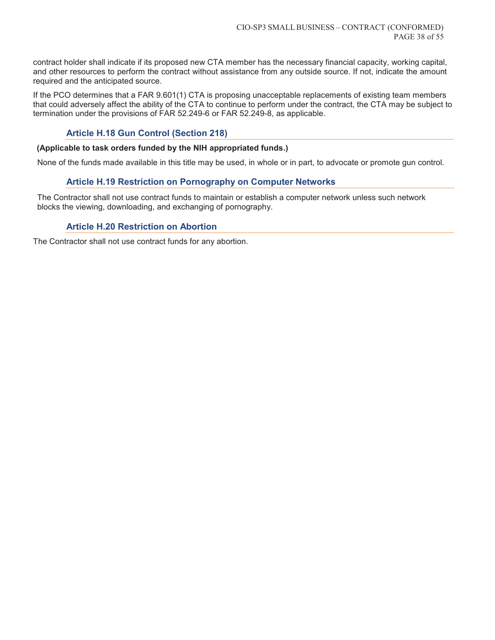contract holder shall indicate if its proposed new СТА member has the necessary financial capacity, working capital, and other resources to perform the contract without assistance from any outside source. If not, indicate the amount required and the anticipated source.

If the PCO determines that a FAR 9.601(1) CTA is proposing unacceptable replacements of existing team members that could adversely affect the ability of the CTA to continue to perform under the contract, the CTA may be subject to termination under the provisions of FAR 52.249-6 or FAR 52.249-8, as applicable.

# **Article H.18 Gun Control (Section 218)**

#### **(Applicable to task orders funded by the NIH appropriated funds.)**

None of the funds made available in this title may be used, in whole or in part, to advocate or promote gun control.

# **Article H.19 Restriction on Pornography on Computer Networks**

The Contractor shall not use contract funds to maintain or establish a computer network unless such network blocks the viewing, downloading, and exchanging of pornography.

# **Article H.20 Restriction on Abortion**

The Contractor shall not use contract funds for any abortion.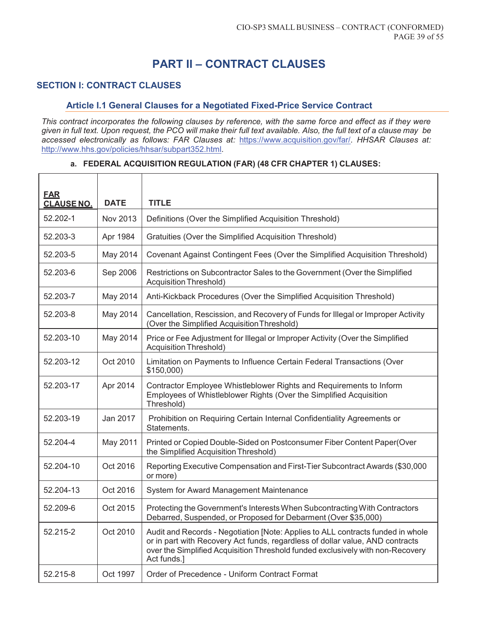# **PART II – CONTRACT CLAUSES**

# **SECTION I: CONTRACT CLAUSES**

#### **Article I.1 General Clauses for a Negotiated Fixed-Price Service Contract**

*This contract incorporates the following clauses by reference, with the same force and effect as if they were given in full text. Upon request, the PCO will make their full text available. Also, the full text of a clause may be accessed electronically as follows: FAR Clauses at:* https://www.acquisition.gov/far/*. HHSAR Clauses at:*  http://www.hhs.gov/policies/hhsar/subpart352.html*.* 

# **FAR CLAUSE NO. DATE TITLE**  52.202-1 Nov 2013 Definitions (Over the Simplified Acquisition Threshold) 52.203-3 Apr 1984 Gratuities (Over the Simplified Acquisition Threshold) 52.203-5 May 2014 Covenant Against Contingent Fees (Over the Simplified Acquisition Threshold) 52.203-6 Sep 2006 Restrictions on Subcontractor Sales to the Government (Over the Simplified Acquisition Threshold) 52.203-7 May 2014 | Anti-Kickback Procedures (Over the Simplified Acquisition Threshold) 52.203-8 May 2014 Cancellation, Rescission, and Recovery of Funds for Illegal or Improper Activity (Over the Simplified Acquisition Threshold) 52.203-10 May 2014 | Price or Fee Adjustment for Illegal or Improper Activity (Over the Simplified Acquisition Threshold) 52.203-12 Oct 2010 Limitation on Payments to Influence Certain Federal Transactions (Over \$150,000) 52.203-17 Apr 2014 Contractor Employee Whistleblower Rights and Requirements to Inform Employees of Whistleblower Rights (Over the Simplified Acquisition Threshold) 52.203-19 Jan 2017 Prohibition on Requiring Certain Internal Confidentiality Agreements or Statements. 52.204-4 May 2011 Printed or Copied Double-Sided on Postconsumer Fiber Content Paper(Over the Simplified Acquisition Threshold) 52.204-10 | Oct 2016 | Reporting Executive Compensation and First-Tier Subcontract Awards (\$30,000 or more) 52.204-13 Oct 2016 System for Award Management Maintenance 52.209-6 **Cont** Oct 2015 Protecting the Government's Interests When Subcontracting With Contractors Debarred, Suspended, or Proposed for Debarment (Over \$35,000) 52.215-2 | Oct 2010 | Audit and Records - Negotiation [Note: Applies to ALL contracts funded in whole or in part with Recovery Act funds, regardless of dollar value, AND contracts over the Simplified Acquisition Threshold funded exclusively with non-Recovery Act funds.] 52.215-8 Oct 1997 Order of Precedence - Uniform Contract Format

#### **a. FEDERAL ACQUISITION REGULATION (FAR) (48 CFR CHAPTER 1) CLAUSES:**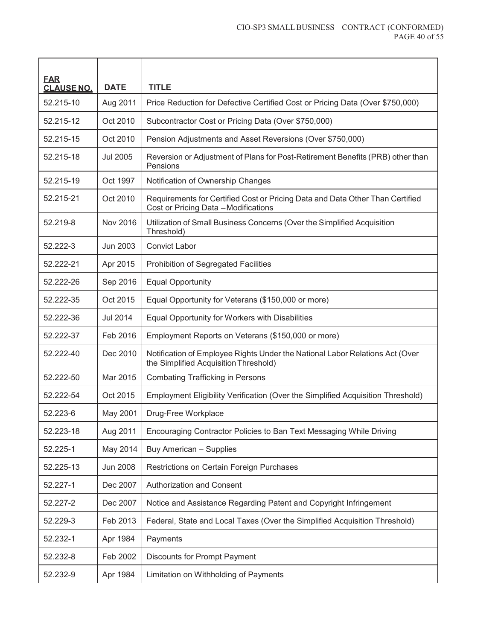| <b>EAR</b><br><b>CLAUSE NO.</b> | <b>DATE</b>     | <b>TITLE</b>                                                                                                          |
|---------------------------------|-----------------|-----------------------------------------------------------------------------------------------------------------------|
| 52.215-10                       | Aug 2011        | Price Reduction for Defective Certified Cost or Pricing Data (Over \$750,000)                                         |
| 52.215-12                       | Oct 2010        | Subcontractor Cost or Pricing Data (Over \$750,000)                                                                   |
| 52.215-15                       | Oct 2010        | Pension Adjustments and Asset Reversions (Over \$750,000)                                                             |
| 52.215-18                       | <b>Jul 2005</b> | Reversion or Adjustment of Plans for Post-Retirement Benefits (PRB) other than<br>Pensions                            |
| 52.215-19                       | Oct 1997        | Notification of Ownership Changes                                                                                     |
| 52.215-21                       | Oct 2010        | Requirements for Certified Cost or Pricing Data and Data Other Than Certified<br>Cost or Pricing Data - Modifications |
| 52.219-8                        | Nov 2016        | Utilization of Small Business Concerns (Over the Simplified Acquisition<br>Threshold)                                 |
| 52.222-3                        | Jun 2003        | <b>Convict Labor</b>                                                                                                  |
| 52.222-21                       | Apr 2015        | Prohibition of Segregated Facilities                                                                                  |
| 52.222-26                       | Sep 2016        | <b>Equal Opportunity</b>                                                                                              |
| 52.222-35                       | Oct 2015        | Equal Opportunity for Veterans (\$150,000 or more)                                                                    |
| 52.222-36                       | <b>Jul 2014</b> | Equal Opportunity for Workers with Disabilities                                                                       |
| 52.222-37                       | Feb 2016        | Employment Reports on Veterans (\$150,000 or more)                                                                    |
| 52.222-40                       | Dec 2010        | Notification of Employee Rights Under the National Labor Relations Act (Over<br>the Simplified Acquisition Threshold) |
| 52.222-50                       | Mar 2015        | <b>Combating Trafficking in Persons</b>                                                                               |
| 52.222-54                       | Oct 2015        | Employment Eligibility Verification (Over the Simplified Acquisition Threshold)                                       |
| 52.223-6                        | May 2001        | Drug-Free Workplace                                                                                                   |
| 52.223-18                       | Aug 2011        | Encouraging Contractor Policies to Ban Text Messaging While Driving                                                   |
| 52.225-1                        | May 2014        | Buy American - Supplies                                                                                               |
| 52.225-13                       | <b>Jun 2008</b> | Restrictions on Certain Foreign Purchases                                                                             |
| 52.227-1                        | Dec 2007        | Authorization and Consent                                                                                             |
| 52.227-2                        | Dec 2007        | Notice and Assistance Regarding Patent and Copyright Infringement                                                     |
| 52.229-3                        | Feb 2013        | Federal, State and Local Taxes (Over the Simplified Acquisition Threshold)                                            |
| 52.232-1                        | Apr 1984        | Payments                                                                                                              |
| 52.232-8                        | Feb 2002        | <b>Discounts for Prompt Payment</b>                                                                                   |
| 52.232-9                        | Apr 1984        | Limitation on Withholding of Payments                                                                                 |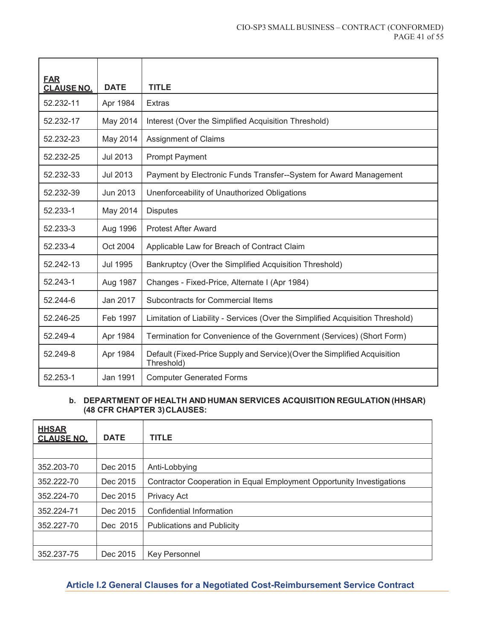| <b>FAR</b><br><b>CLAUSE NO.</b> | <b>DATE</b>     | <b>TITLE</b>                                                                            |  |
|---------------------------------|-----------------|-----------------------------------------------------------------------------------------|--|
| 52.232-11                       | Apr 1984        | <b>Extras</b>                                                                           |  |
| 52.232-17                       | May 2014        | Interest (Over the Simplified Acquisition Threshold)                                    |  |
| 52.232-23                       | May 2014        | <b>Assignment of Claims</b>                                                             |  |
| 52.232-25                       | <b>Jul 2013</b> | <b>Prompt Payment</b>                                                                   |  |
| 52.232-33                       | <b>Jul 2013</b> | Payment by Electronic Funds Transfer--System for Award Management                       |  |
| 52.232-39                       | Jun 2013        | Unenforceability of Unauthorized Obligations                                            |  |
| 52.233-1                        | May 2014        | <b>Disputes</b>                                                                         |  |
| 52.233-3                        | Aug 1996        | <b>Protest After Award</b>                                                              |  |
| 52.233-4                        | Oct 2004        | Applicable Law for Breach of Contract Claim                                             |  |
| 52.242-13                       | Jul 1995        | Bankruptcy (Over the Simplified Acquisition Threshold)                                  |  |
| 52.243-1                        | Aug 1987        | Changes - Fixed-Price, Alternate I (Apr 1984)                                           |  |
| 52.244-6                        | Jan 2017        | Subcontracts for Commercial Items                                                       |  |
| 52.246-25                       | Feb 1997        | Limitation of Liability - Services (Over the Simplified Acquisition Threshold)          |  |
| 52.249-4                        | Apr 1984        | Termination for Convenience of the Government (Services) (Short Form)                   |  |
| 52.249-8                        | Apr 1984        | Default (Fixed-Price Supply and Service) (Over the Simplified Acquisition<br>Threshold) |  |
| 52.253-1                        | Jan 1991        | <b>Computer Generated Forms</b>                                                         |  |

# **b. DEPARTMENT OF HEALTH AND HUMAN SERVICES ACQUISITION REGULATION (HHSAR) (48 CFR CHAPTER 3) CLAUSES:**

| <b>HHSAR</b><br><b>CLAUSE NO.</b> | <b>DATE</b> | <b>TITLE</b>                                                          |
|-----------------------------------|-------------|-----------------------------------------------------------------------|
|                                   |             |                                                                       |
| 352.203-70                        | Dec 2015    | Anti-Lobbying                                                         |
| 352.222-70                        | Dec 2015    | Contractor Cooperation in Equal Employment Opportunity Investigations |
| 352.224-70                        | Dec 2015    | Privacy Act                                                           |
| 352.224-71                        | Dec 2015    | Confidential Information                                              |
| 352.227-70                        | Dec 2015    | <b>Publications and Publicity</b>                                     |
|                                   |             |                                                                       |
| 352.237-75                        | Dec 2015    | <b>Key Personnel</b>                                                  |

# **Article I.2 General Clauses for a Negotiated Cost-Reimbursement Service Contract**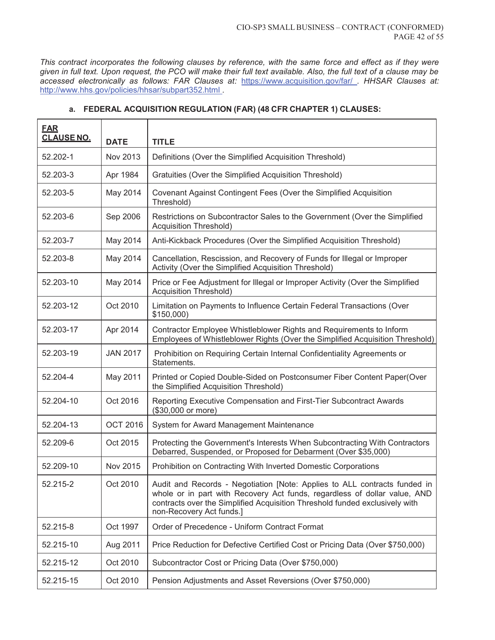*This contract incorporates the following clauses by reference, with the same force and effect as if they were given in full text. Upon request, the PCO will make their full text available. Also, the full text of a clause may be accessed electronically as follows: FAR Clauses at:* https://www.acquisition.gov/far/ *. HHSAR Clauses at:*  http://www.hhs.gov/policies/hhsar/subpart352.html *.* 

| <b>FAR</b><br><b>CLAUSE NO.</b> | <b>DATE</b>     | <b>TITLE</b>                                                                                                                                                                                                                                                      |  |
|---------------------------------|-----------------|-------------------------------------------------------------------------------------------------------------------------------------------------------------------------------------------------------------------------------------------------------------------|--|
| 52.202-1                        | Nov 2013        | Definitions (Over the Simplified Acquisition Threshold)                                                                                                                                                                                                           |  |
| 52.203-3                        | Apr 1984        | Gratuities (Over the Simplified Acquisition Threshold)                                                                                                                                                                                                            |  |
| 52.203-5                        | May 2014        | Covenant Against Contingent Fees (Over the Simplified Acquisition<br>Threshold)                                                                                                                                                                                   |  |
| 52.203-6                        | Sep 2006        | Restrictions on Subcontractor Sales to the Government (Over the Simplified<br><b>Acquisition Threshold)</b>                                                                                                                                                       |  |
| 52.203-7                        | May 2014        | Anti-Kickback Procedures (Over the Simplified Acquisition Threshold)                                                                                                                                                                                              |  |
| 52.203-8                        | May 2014        | Cancellation, Rescission, and Recovery of Funds for Illegal or Improper<br>Activity (Over the Simplified Acquisition Threshold)                                                                                                                                   |  |
| 52.203-10                       | May 2014        | Price or Fee Adjustment for Illegal or Improper Activity (Over the Simplified<br><b>Acquisition Threshold)</b>                                                                                                                                                    |  |
| 52.203-12                       | Oct 2010        | Limitation on Payments to Influence Certain Federal Transactions (Over<br>$$150,000$ )                                                                                                                                                                            |  |
| 52.203-17                       | Apr 2014        | Contractor Employee Whistleblower Rights and Requirements to Inform<br>Employees of Whistleblower Rights (Over the Simplified Acquisition Threshold)                                                                                                              |  |
| 52.203-19                       | <b>JAN 2017</b> | Prohibition on Requiring Certain Internal Confidentiality Agreements or<br>Statements.                                                                                                                                                                            |  |
| 52.204-4                        | May 2011        | Printed or Copied Double-Sided on Postconsumer Fiber Content Paper(Over<br>the Simplified Acquisition Threshold)                                                                                                                                                  |  |
| 52.204-10                       | Oct 2016        | Reporting Executive Compensation and First-Tier Subcontract Awards<br>(\$30,000 or more)                                                                                                                                                                          |  |
| 52.204-13                       | <b>OCT 2016</b> | System for Award Management Maintenance                                                                                                                                                                                                                           |  |
| 52.209-6                        | Oct 2015        | Protecting the Government's Interests When Subcontracting With Contractors<br>Debarred, Suspended, or Proposed for Debarment (Over \$35,000)                                                                                                                      |  |
| 52.209-10                       | Nov 2015        | Prohibition on Contracting With Inverted Domestic Corporations                                                                                                                                                                                                    |  |
| 52.215-2                        | Oct 2010        | Audit and Records - Negotiation [Note: Applies to ALL contracts funded in<br>whole or in part with Recovery Act funds, regardless of dollar value, AND<br>contracts over the Simplified Acquisition Threshold funded exclusively with<br>non-Recovery Act funds.] |  |
| 52.215-8                        | Oct 1997        | Order of Precedence - Uniform Contract Format                                                                                                                                                                                                                     |  |
| 52.215-10                       | Aug 2011        | Price Reduction for Defective Certified Cost or Pricing Data (Over \$750,000)                                                                                                                                                                                     |  |
| 52.215-12                       | Oct 2010        | Subcontractor Cost or Pricing Data (Over \$750,000)                                                                                                                                                                                                               |  |
| 52.215-15                       | Oct 2010        | Pension Adjustments and Asset Reversions (Over \$750,000)                                                                                                                                                                                                         |  |

#### **a. FEDERAL ACQUISITION REGULATION (FAR) (48 CFR CHAPTER 1) CLAUSES:**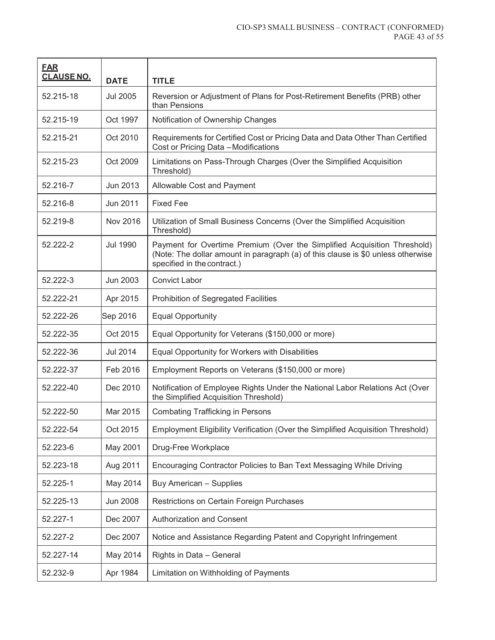| <b>EAR</b><br><b>CLAUSE NO.</b> | <b>DATE</b>     | <b>TITLE</b>                                                                                                                                                                                |  |
|---------------------------------|-----------------|---------------------------------------------------------------------------------------------------------------------------------------------------------------------------------------------|--|
| 52.215-18                       | <b>Jul 2005</b> | Reversion or Adjustment of Plans for Post-Retirement Benefits (PRB) other<br>than Pensions                                                                                                  |  |
| 52.215-19                       | Oct 1997        | Notification of Ownership Changes                                                                                                                                                           |  |
| 52.215-21                       | Oct 2010        | Requirements for Certified Cost or Pricing Data and Data Other Than Certified<br>Cost or Pricing Data - Modifications                                                                       |  |
| 52.215-23                       | Oct 2009        | Limitations on Pass-Through Charges (Over the Simplified Acquisition<br>Threshold)                                                                                                          |  |
| 52.216-7                        | Jun 2013        | Allowable Cost and Payment                                                                                                                                                                  |  |
| 52.216-8                        | Jun 2011        | <b>Fixed Fee</b>                                                                                                                                                                            |  |
| 52.219-8                        | Nov 2016        | Utilization of Small Business Concerns (Over the Simplified Acquisition<br>Threshold)                                                                                                       |  |
| 52.222-2                        | <b>Jul 1990</b> | Payment for Overtime Premium (Over the Simplified Acquisition Threshold)<br>(Note: The dollar amount in paragraph (a) of this clause is \$0 unless otherwise<br>specified in the contract.) |  |
| 52.222-3                        | Jun 2003        | <b>Convict Labor</b>                                                                                                                                                                        |  |
| 52.222-21                       | Apr 2015        | Prohibition of Segregated Facilities                                                                                                                                                        |  |
| 52.222-26                       | Sep 2016        | <b>Equal Opportunity</b>                                                                                                                                                                    |  |
| 52.222-35                       | Oct 2015        | Equal Opportunity for Veterans (\$150,000 or more)                                                                                                                                          |  |
| 52.222-36                       | Jul 2014        | Equal Opportunity for Workers with Disabilities                                                                                                                                             |  |
| 52.222-37                       | Feb 2016        | Employment Reports on Veterans (\$150,000 or more)                                                                                                                                          |  |
| 52.222-40                       | Dec 2010        | Notification of Employee Rights Under the National Labor Relations Act (Over<br>the Simplified Acquisition Threshold)                                                                       |  |
| 52.222-50                       | Mar 2015        | <b>Combating Trafficking in Persons</b>                                                                                                                                                     |  |
| 52.222-54                       | Oct 2015        | Employment Eligibility Verification (Over the Simplified Acquisition Threshold)                                                                                                             |  |
| 52.223-6                        | May 2001        | Drug-Free Workplace                                                                                                                                                                         |  |
| 52.223-18                       | Aug 2011        | Encouraging Contractor Policies to Ban Text Messaging While Driving                                                                                                                         |  |
| 52.225-1                        | May 2014        | Buy American - Supplies                                                                                                                                                                     |  |
| 52.225-13                       | <b>Jun 2008</b> | Restrictions on Certain Foreign Purchases                                                                                                                                                   |  |
| 52.227-1                        | Dec 2007        | Authorization and Consent                                                                                                                                                                   |  |
| 52.227-2                        | Dec 2007        | Notice and Assistance Regarding Patent and Copyright Infringement                                                                                                                           |  |
| 52.227-14                       | May 2014        | Rights in Data - General                                                                                                                                                                    |  |
| 52.232-9                        | Apr 1984        | Limitation on Withholding of Payments                                                                                                                                                       |  |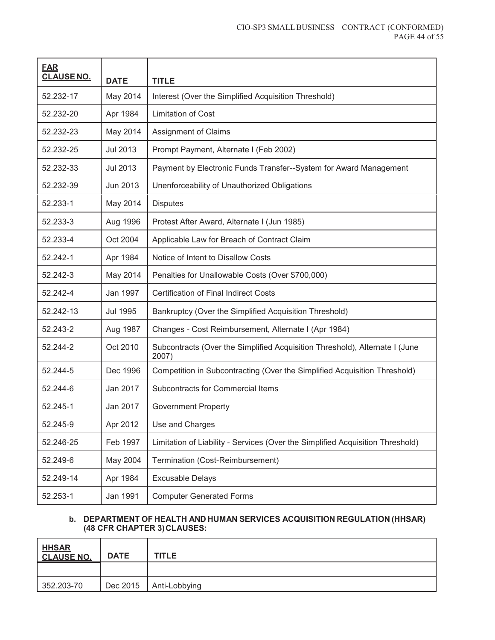| <b>EAR</b><br><b>CLAUSE NO.</b> | <b>DATE</b>     | <b>TITLE</b>                                                                         |  |
|---------------------------------|-----------------|--------------------------------------------------------------------------------------|--|
| 52.232-17                       | May 2014        | Interest (Over the Simplified Acquisition Threshold)                                 |  |
| 52.232-20                       | Apr 1984        | <b>Limitation of Cost</b>                                                            |  |
| 52.232-23                       | May 2014        | <b>Assignment of Claims</b>                                                          |  |
| 52.232-25                       | Jul 2013        | Prompt Payment, Alternate I (Feb 2002)                                               |  |
| 52.232-33                       | Jul 2013        | Payment by Electronic Funds Transfer--System for Award Management                    |  |
| 52.232-39                       | Jun 2013        | Unenforceability of Unauthorized Obligations                                         |  |
| 52.233-1                        | May 2014        | <b>Disputes</b>                                                                      |  |
| 52.233-3                        | Aug 1996        | Protest After Award, Alternate I (Jun 1985)                                          |  |
| 52.233-4                        | Oct 2004        | Applicable Law for Breach of Contract Claim                                          |  |
| 52.242-1                        | Apr 1984        | Notice of Intent to Disallow Costs                                                   |  |
| 52.242-3                        | May 2014        | Penalties for Unallowable Costs (Over \$700,000)                                     |  |
| 52.242-4                        | Jan 1997        | <b>Certification of Final Indirect Costs</b>                                         |  |
| 52.242-13                       | <b>Jul 1995</b> | Bankruptcy (Over the Simplified Acquisition Threshold)                               |  |
| 52.243-2                        | Aug 1987        | Changes - Cost Reimbursement, Alternate I (Apr 1984)                                 |  |
| 52.244-2                        | Oct 2010        | Subcontracts (Over the Simplified Acquisition Threshold), Alternate I (June<br>2007) |  |
| 52.244-5                        | Dec 1996        | Competition in Subcontracting (Over the Simplified Acquisition Threshold)            |  |
| 52.244-6                        | Jan 2017        | Subcontracts for Commercial Items                                                    |  |
| 52.245-1                        | Jan 2017        | <b>Government Property</b>                                                           |  |
| 52.245-9                        | Apr 2012        | Use and Charges                                                                      |  |
| 52.246-25                       | Feb 1997        | Limitation of Liability - Services (Over the Simplified Acquisition Threshold)       |  |
| 52.249-6                        | May 2004        | Termination (Cost-Reimbursement)                                                     |  |
| 52.249-14                       | Apr 1984        | <b>Excusable Delays</b>                                                              |  |
| 52.253-1                        | Jan 1991        | <b>Computer Generated Forms</b>                                                      |  |

#### **b. DEPARTMENT OF HEALTH AND HUMAN SERVICES ACQUISITION REGULATION (HHSAR) (48 CFR CHAPTER 3) CLAUSES:**

| <b>HHSAR</b><br><b>CLAUSE NO.</b> | <b>DATE</b> | <b>TITLE</b>  |
|-----------------------------------|-------------|---------------|
|                                   |             |               |
| 352.203-70                        | Dec 2015    | Anti-Lobbying |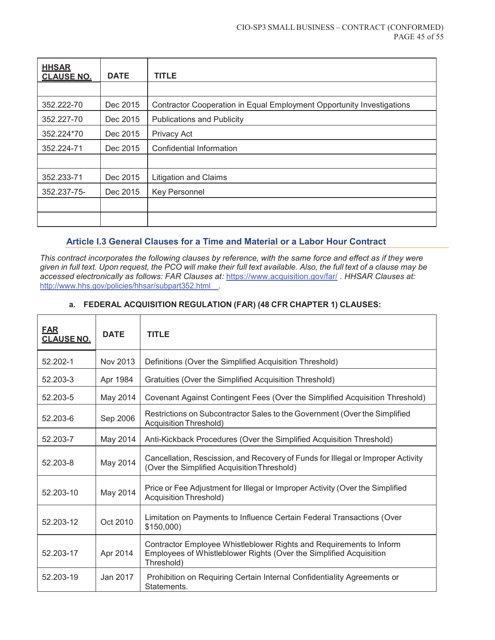| <b>HHSAR</b><br><b>CLAUSE NO.</b> | <b>DATE</b> | <b>TITLE</b>                                                          |
|-----------------------------------|-------------|-----------------------------------------------------------------------|
|                                   |             |                                                                       |
| 352.222-70                        | Dec 2015    | Contractor Cooperation in Equal Employment Opportunity Investigations |
| 352.227-70                        | Dec 2015    | <b>Publications and Publicity</b>                                     |
| 352.224*70                        | Dec 2015    | Privacy Act                                                           |
| 352.224-71                        | Dec 2015    | Confidential Information                                              |
|                                   |             |                                                                       |
| 352.233-71                        | Dec 2015    | <b>Litigation and Claims</b>                                          |
| 352.237-75-                       | Dec 2015    | Key Personnel                                                         |
|                                   |             |                                                                       |
|                                   |             |                                                                       |

# **Article I.3 General Clauses for a Time and Material or a Labor Hour Contract**

*This contract incorporates the following clauses by reference, with the same force and effect as if they were given in full text. Upon request, the PCO will make their full text available. Also, the full text of a clause may be accessed electronically as follows: FAR Clauses at:* https://www.acquisition.gov/far/ *. HHSAR Clauses at:*  http://www.hhs.gov/policies/hhsar/subpart352.html *.* 

# **a. FEDERAL ACQUISITION REGULATION (FAR) (48 CFR CHAPTER 1) CLAUSES:**

| <b>EAR</b><br><b>CLAUSE NO.</b> | <b>DATE</b> | <b>TITLE</b>                                                                                                                                            |  |
|---------------------------------|-------------|---------------------------------------------------------------------------------------------------------------------------------------------------------|--|
| 52.202-1                        | Nov 2013    | Definitions (Over the Simplified Acquisition Threshold)                                                                                                 |  |
| 52.203-3                        | Apr 1984    | Gratuities (Over the Simplified Acquisition Threshold)                                                                                                  |  |
| 52.203-5                        | May 2014    | Covenant Against Contingent Fees (Over the Simplified Acquisition Threshold)                                                                            |  |
| 52.203-6                        | Sep 2006    | Restrictions on Subcontractor Sales to the Government (Over the Simplified<br>Acquisition Threshold)                                                    |  |
| 52.203-7                        | May 2014    | Anti-Kickback Procedures (Over the Simplified Acquisition Threshold)                                                                                    |  |
| 52.203-8                        | May 2014    | Cancellation, Rescission, and Recovery of Funds for Illegal or Improper Activity<br>(Over the Simplified Acquisition Threshold)                         |  |
| 52.203-10                       | May 2014    | Price or Fee Adjustment for Illegal or Improper Activity (Over the Simplified<br><b>Acquisition Threshold)</b>                                          |  |
| 52.203-12                       | Oct 2010    | Limitation on Payments to Influence Certain Federal Transactions (Over<br>\$150,000                                                                     |  |
| 52.203-17                       | Apr 2014    | Contractor Employee Whistleblower Rights and Requirements to Inform<br>Employees of Whistleblower Rights (Over the Simplified Acquisition<br>Threshold) |  |
| 52.203-19                       | Jan 2017    | Prohibition on Requiring Certain Internal Confidentiality Agreements or<br>Statements.                                                                  |  |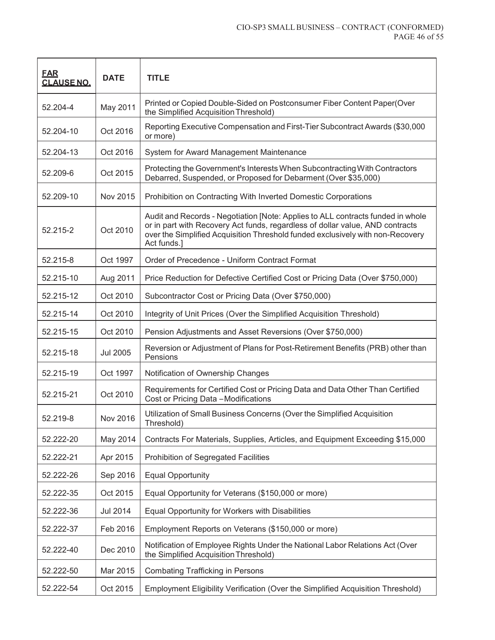| <b>FAR</b><br><b>CLAUSE NO.</b> | <b>DATE</b>     | <b>TITLE</b>                                                                                                                                                                                                                                                      |  |
|---------------------------------|-----------------|-------------------------------------------------------------------------------------------------------------------------------------------------------------------------------------------------------------------------------------------------------------------|--|
| 52.204-4                        | May 2011        | Printed or Copied Double-Sided on Postconsumer Fiber Content Paper(Over<br>the Simplified Acquisition Threshold)                                                                                                                                                  |  |
| 52.204-10                       | Oct 2016        | Reporting Executive Compensation and First-Tier Subcontract Awards (\$30,000<br>or more)                                                                                                                                                                          |  |
| 52.204-13                       | Oct 2016        | System for Award Management Maintenance                                                                                                                                                                                                                           |  |
| 52.209-6                        | Oct 2015        | Protecting the Government's Interests When Subcontracting With Contractors<br>Debarred, Suspended, or Proposed for Debarment (Over \$35,000)                                                                                                                      |  |
| 52.209-10                       | Nov 2015        | Prohibition on Contracting With Inverted Domestic Corporations                                                                                                                                                                                                    |  |
| 52.215-2                        | Oct 2010        | Audit and Records - Negotiation [Note: Applies to ALL contracts funded in whole<br>or in part with Recovery Act funds, regardless of dollar value, AND contracts<br>over the Simplified Acquisition Threshold funded exclusively with non-Recovery<br>Act funds.] |  |
| 52.215-8                        | Oct 1997        | Order of Precedence - Uniform Contract Format                                                                                                                                                                                                                     |  |
| 52.215-10                       | Aug 2011        | Price Reduction for Defective Certified Cost or Pricing Data (Over \$750,000)                                                                                                                                                                                     |  |
| 52.215-12                       | Oct 2010        | Subcontractor Cost or Pricing Data (Over \$750,000)                                                                                                                                                                                                               |  |
| 52.215-14                       | Oct 2010        | Integrity of Unit Prices (Over the Simplified Acquisition Threshold)                                                                                                                                                                                              |  |
| 52.215-15                       | Oct 2010        | Pension Adjustments and Asset Reversions (Over \$750,000)                                                                                                                                                                                                         |  |
| 52.215-18                       | <b>Jul 2005</b> | Reversion or Adjustment of Plans for Post-Retirement Benefits (PRB) other than<br>Pensions                                                                                                                                                                        |  |
| 52.215-19                       | Oct 1997        | Notification of Ownership Changes                                                                                                                                                                                                                                 |  |
| 52.215-21                       | Oct 2010        | Requirements for Certified Cost or Pricing Data and Data Other Than Certified<br>Cost or Pricing Data - Modifications                                                                                                                                             |  |
| 52.219-8                        | Nov 2016        | Utilization of Small Business Concerns (Over the Simplified Acquisition<br>Threshold)                                                                                                                                                                             |  |
| 52.222-20                       | May 2014        | Contracts For Materials, Supplies, Articles, and Equipment Exceeding \$15,000                                                                                                                                                                                     |  |
| 52.222-21                       | Apr 2015        | Prohibition of Segregated Facilities                                                                                                                                                                                                                              |  |
| 52.222-26                       | Sep 2016        | <b>Equal Opportunity</b>                                                                                                                                                                                                                                          |  |
| 52.222-35                       | Oct 2015        | Equal Opportunity for Veterans (\$150,000 or more)                                                                                                                                                                                                                |  |
| 52.222-36                       | Jul 2014        | Equal Opportunity for Workers with Disabilities                                                                                                                                                                                                                   |  |
| 52.222-37                       | Feb 2016        | Employment Reports on Veterans (\$150,000 or more)                                                                                                                                                                                                                |  |
| 52.222-40                       | Dec 2010        | Notification of Employee Rights Under the National Labor Relations Act (Over<br>the Simplified Acquisition Threshold)                                                                                                                                             |  |
| 52.222-50                       | Mar 2015        | <b>Combating Trafficking in Persons</b>                                                                                                                                                                                                                           |  |
| 52.222-54                       | Oct 2015        | Employment Eligibility Verification (Over the Simplified Acquisition Threshold)                                                                                                                                                                                   |  |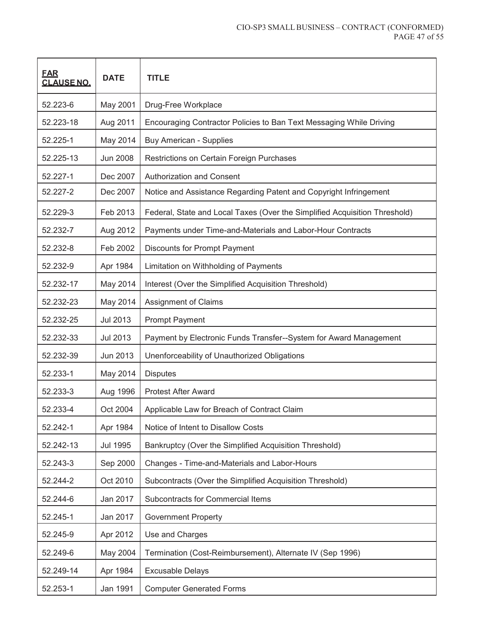| <b>FAR</b><br><b>CLAUSE NO.</b> | <b>DATE</b>     | <b>TITLE</b>                                                               |  |
|---------------------------------|-----------------|----------------------------------------------------------------------------|--|
| 52.223-6                        | May 2001        | Drug-Free Workplace                                                        |  |
| 52.223-18                       | Aug 2011        | Encouraging Contractor Policies to Ban Text Messaging While Driving        |  |
| 52.225-1                        | May 2014        | <b>Buy American - Supplies</b>                                             |  |
| 52.225-13                       | <b>Jun 2008</b> | Restrictions on Certain Foreign Purchases                                  |  |
| 52.227-1                        | Dec 2007        | <b>Authorization and Consent</b>                                           |  |
| 52.227-2                        | Dec 2007        | Notice and Assistance Regarding Patent and Copyright Infringement          |  |
| 52.229-3                        | Feb 2013        | Federal, State and Local Taxes (Over the Simplified Acquisition Threshold) |  |
| 52.232-7                        | Aug 2012        | Payments under Time-and-Materials and Labor-Hour Contracts                 |  |
| 52.232-8                        | Feb 2002        | <b>Discounts for Prompt Payment</b>                                        |  |
| 52.232-9                        | Apr 1984        | Limitation on Withholding of Payments                                      |  |
| 52.232-17                       | May 2014        | Interest (Over the Simplified Acquisition Threshold)                       |  |
| 52.232-23                       | May 2014        | <b>Assignment of Claims</b>                                                |  |
| 52.232-25                       | <b>Jul 2013</b> | <b>Prompt Payment</b>                                                      |  |
| 52.232-33                       | <b>Jul 2013</b> | Payment by Electronic Funds Transfer--System for Award Management          |  |
| 52.232-39                       | Jun 2013        | Unenforceability of Unauthorized Obligations                               |  |
| 52.233-1                        | May 2014        | <b>Disputes</b>                                                            |  |
| 52.233-3                        | Aug 1996        | <b>Protest After Award</b>                                                 |  |
| 52.233-4                        | Oct 2004        | Applicable Law for Breach of Contract Claim                                |  |
| 52.242-1                        | Apr 1984        | Notice of Intent to Disallow Costs                                         |  |
| 52.242-13                       | <b>Jul 1995</b> | Bankruptcy (Over the Simplified Acquisition Threshold)                     |  |
| 52.243-3                        | Sep 2000        | Changes - Time-and-Materials and Labor-Hours                               |  |
| 52.244-2                        | Oct 2010        | Subcontracts (Over the Simplified Acquisition Threshold)                   |  |
| 52.244-6                        | Jan 2017        | Subcontracts for Commercial Items                                          |  |
| 52.245-1                        | Jan 2017        | <b>Government Property</b>                                                 |  |
| 52.245-9                        | Apr 2012        | Use and Charges                                                            |  |
| 52.249-6                        | May 2004        | Termination (Cost-Reimbursement), Alternate IV (Sep 1996)                  |  |
| 52.249-14                       | Apr 1984        | <b>Excusable Delays</b>                                                    |  |
| 52.253-1                        | Jan 1991        | <b>Computer Generated Forms</b>                                            |  |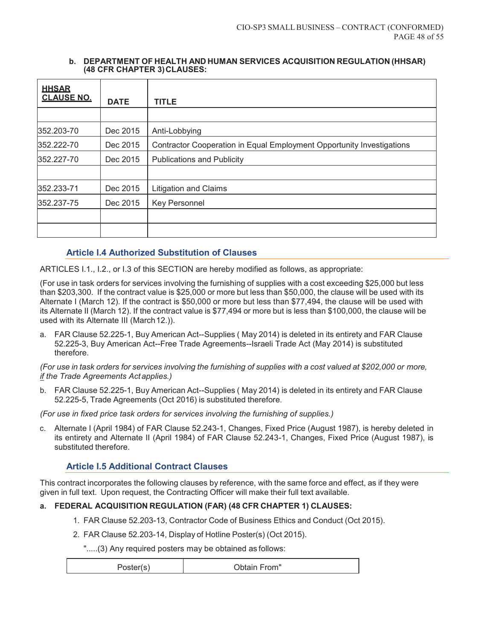#### **b. DEPARTMENT OF HEALTH AND HUMAN SERVICES ACQUISITION REGULATION (HHSAR) (48 CFR CHAPTER 3) CLAUSES:**

| <b>HHSAR</b><br><b>CLAUSE NO.</b> | <b>DATE</b> | <b>TITLE</b>                                                          |
|-----------------------------------|-------------|-----------------------------------------------------------------------|
|                                   |             |                                                                       |
| 352.203-70                        | Dec 2015    | Anti-Lobbying                                                         |
| 352.222-70                        | Dec 2015    | Contractor Cooperation in Equal Employment Opportunity Investigations |
| 352.227-70                        | Dec 2015    | <b>Publications and Publicity</b>                                     |
|                                   |             |                                                                       |
| 352.233-71                        | Dec 2015    | <b>Litigation and Claims</b>                                          |
| 352.237-75                        | Dec 2015    | Key Personnel                                                         |
|                                   |             |                                                                       |
|                                   |             |                                                                       |

# **Article I.4 Authorized Substitution of Clauses**

ARTICLES I.1., I.2., or I.3 of this SECTION are hereby modified as follows, as appropriate:

(For use in task orders for services involving the furnishing of supplies with a cost exceeding \$25,000 but less than \$203,300. If the contract value is \$25,000 or more but less than \$50,000, the clause will be used with its Alternate I (March 12). If the contract is \$50,000 or more but less than \$77,494, the clause will be used with its Alternate II (March 12). If the contract value is \$77,494 or more but is less than \$100,000, the clause will be used with its Alternate III (March 12.)).

a. FAR Clause 52.225-1, Buy American Act--Supplies ( May 2014) is deleted in its entirety and FAR Clause 52.225-3, Buy American Act--Free Trade Agreements--Israeli Trade Act (May 2014) is substituted therefore.

*(For use in task orders for services involving the furnishing of supplies with a cost valued at \$202,000 or more, if the Trade Agreements Act applies.)* 

b. FAR Clause 52.225-1, Buy American Act--Supplies ( May 2014) is deleted in its entirety and FAR Clause 52.225-5, Trade Agreements (Oct 2016) is substituted therefore.

*(For use in fixed price task orders for services involving the furnishing of supplies.)* 

c. Alternate I (April 1984) of FAR Clause 52.243-1, Changes, Fixed Price (August 1987), is hereby deleted in its entirety and Alternate II (April 1984) of FAR Clause 52.243-1, Changes, Fixed Price (August 1987), is substituted therefore.

# **Article I.5 Additional Contract Clauses**

This contract incorporates the following clauses by reference, with the same force and effect, as if they were given in full text. Upon request, the Contracting Officer will make their full text available.

# **a. FEDERAL ACQUISITION REGULATION (FAR) (48 CFR CHAPTER 1) CLAUSES:**

- 1. FAR Clause 52.203-13, Contractor Code of Business Ethics and Conduct (Oct 2015).
- 2. FAR Clause 52.203-14, Display of Hotline Poster(s) (Oct 2015).

".....(3) Any required posters may be obtained as follows:

| Poster(s) | Obtain From" |
|-----------|--------------|
|-----------|--------------|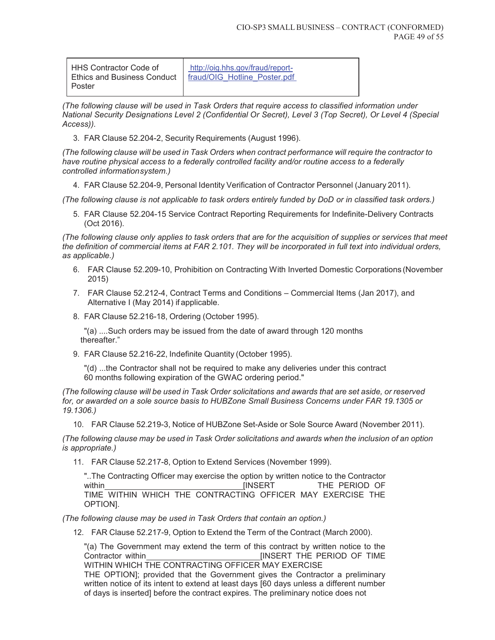| http://oig.hhs.gov/fraud/report-<br>fraud/OIG Hotline Poster.pdf | HHS Contractor Code of<br><b>Ethics and Business Conduct</b><br>Poster |
|------------------------------------------------------------------|------------------------------------------------------------------------|
|------------------------------------------------------------------|------------------------------------------------------------------------|

*(The following clause will be used in Task Orders that require access to classified information under National Security Designations Level 2 (Confidential Or Secret), Level 3 (Top Secret), Or Level 4 (Special Access)).* 

3. FAR Clause 52.204-2, Security Requirements (August 1996).

*(The following clause will be used in Task Orders when contract performance will require the contractor to have routine physical access to a federally controlled facility and/or routine access to a federally controlled information system.)* 

4. FAR Clause 52.204-9, Personal Identity Verification of Contractor Personnel (January 2011).

*(The following clause is not applicable to task orders entirely funded by DoD or in classified task orders.)* 

5. FAR Clause 52.204-15 Service Contract Reporting Requirements for Indefinite-Delivery Contracts (Oct 2016).

*(The following clause only applies to task orders that are for the acquisition of supplies or services that meet the definition of commercial items at FAR 2.101. They will be incorporated in full text into individual orders, as applicable.)* 

- 6. FAR Clause 52.209-10, Prohibition on Contracting With Inverted Domestic Corporations (November 2015)
- 7. FAR Clause 52.212-4, Contract Terms and Conditions Commercial Items (Jan 2017), and Alternative I (May 2014) if applicable.
- 8. FAR Clause 52.216-18, Ordering (October 1995).

"(a) ....Such orders may be issued from the date of award through 120 months thereafter."

9. FAR Clause 52.216-22, Indefinite Quantity (October 1995).

"(d) ...the Contractor shall not be required to make any deliveries under this contract 60 months following expiration of the GWAC ordering period."

*(The following clause will be used in Task Order solicitations and awards that are set aside, or reserved for, or awarded on a sole source basis to HUBZone Small Business Concerns under FAR 19.1305 or 19.1306.)* 

10. FAR Clause 52.219-3, Notice of HUBZone Set-Aside or Sole Source Award (November 2011).

*(The following clause may be used in Task Order solicitations and awards when the inclusion of an option is appropriate.)* 

11. FAR Clause 52.217-8, Option to Extend Services (November 1999).

"..The Contracting Officer may exercise the option by written notice to the Contractor within **The PERIOD OF STATE STATE STATE STATE** TIME WITHIN WHICH THE CONTRACTING OFFICER MAY EXERCISE THE OPTION].

*(The following clause may be used in Task Orders that contain an option.)* 

12. FAR Clause 52.217-9, Option to Extend the Term of the Contract (March 2000).

"(a) The Government may extend the term of this contract by written notice to the Contractor within **Example 20** INSERT THE PERIOD OF TIME WITHIN WHICH THE CONTRACTING OFFICER MAY EXERCISE THE OPTION]; provided that the Government gives the Contractor a preliminary

written notice of its intent to extend at least days [60 days unless a different number of days is inserted] before the contract expires. The preliminary notice does not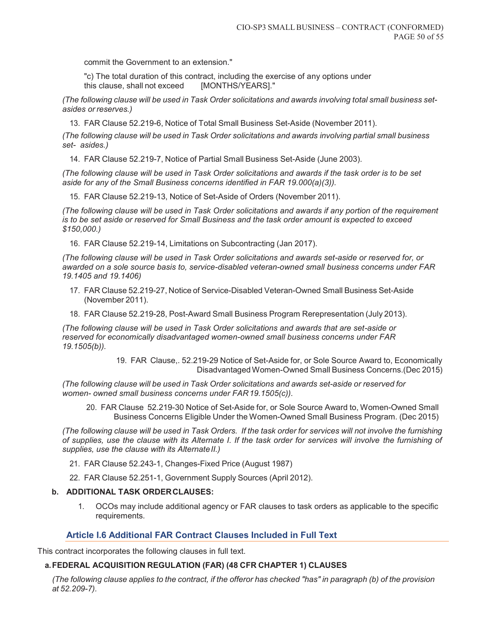commit the Government to an extension."

"c) The total duration of this contract, including the exercise of any options under this clause, shall not exceed [MONTHS/YEARS]."

*(The following clause will be used in Task Order solicitations and awards involving total small business setasides or reserves.)* 

13. FAR Clause 52.219-6, Notice of Total Small Business Set-Aside (November 2011).

*(The following clause will be used in Task Order solicitations and awards involving partial small business set- asides.)* 

14. FAR Clause 52.219-7, Notice of Partial Small Business Set-Aside (June 2003).

*(The following clause will be used in Task Order solicitations and awards if the task order is to be set aside for any of the Small Business concerns identified in FAR 19.000(a)(3)).* 

15. FAR Clause 52.219-13, Notice of Set-Aside of Orders (November 2011).

*(The following clause will be used in Task Order solicitations and awards if any portion of the requirement is to be set aside or reserved for Small Business and the task order amount is expected to exceed \$150,000.)* 

16. FAR Clause 52.219-14, Limitations on Subcontracting (Jan 2017).

*(The following clause will be used in Task Order solicitations and awards set-aside or reserved for, or awarded on a sole source basis to, service-disabled veteran-owned small business concerns under FAR 19.1405 and 19.1406)* 

- 17. FAR Clause 52.219-27, Notice of Service-Disabled Veteran-Owned Small Business Set-Aside (November 2011).
- 18. FAR Clause 52.219-28, Post-Award Small Business Program Rerepresentation (July 2013).

*(The following clause will be used in Task Order solicitations and awards that are set-aside or reserved for economically disadvantaged women-owned small business concerns under FAR 19.1505(b)).* 

> 19. FAR Clause,. 52.219-29 Notice of Set-Aside for, or Sole Source Award to, Economically Disadvantaged Women-Owned Small Business Concerns.(Dec 2015)

*(The following clause will be used in Task Order solicitations and awards set-aside or reserved for women- owned small business concerns under FAR 19.1505(c)).* 

20. FAR Clause 52.219-30 Notice of Set-Aside for, or Sole Source Award to, Women-Owned Small Business Concerns Eligible Under the Women-Owned Small Business Program. (Dec 2015)

*(The following clause will be used in Task Orders. If the task order for services will not involve the furnishing of supplies, use the clause with its Alternate I. If the task order for services will involve the furnishing of supplies, use the clause with its Alternate II.)* 

- 21. FAR Clause 52.243-1, Changes-Fixed Price (August 1987)
- 22. FAR Clause 52.251-1, Government Supply Sources (April 2012).

#### **b. ADDITIONAL TASK ORDER CLAUSES:**

1. OCOs may include additional agency or FAR clauses to task orders as applicable to the specific requirements.

## **Article I.6 Additional FAR Contract Clauses Included in Full Text**

This contract incorporates the following clauses in full text.

#### **a. FEDERAL ACQUISITION REGULATION (FAR) (48 CFR CHAPTER 1) CLAUSES**

*(The following clause applies to the contract, if the offeror has checked "has" in paragraph (b) of the provision at 52.209-7).*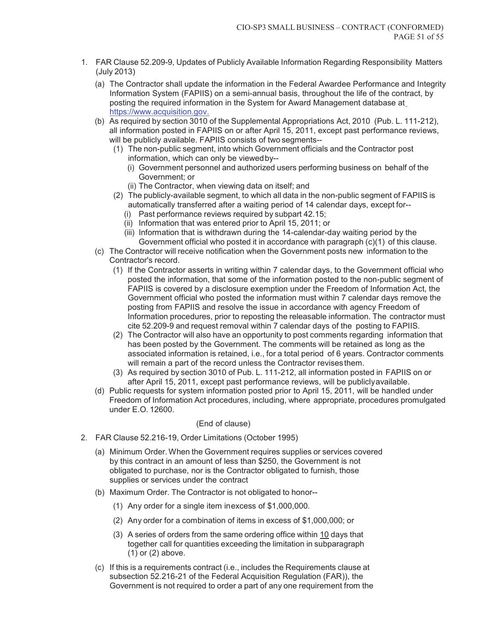- 1. FAR Clause 52.209-9, Updates of Publicly Available Information Regarding Responsibility Matters (July 2013)
	- (a) The Contractor shall update the information in the Federal Awardee Performance and Integrity Information System (FAPIIS) on a semi-annual basis, throughout the life of the contract, by posting the required information in the System for Award Management database at https://www.acquisition.gov.
	- (b) As required by section 3010 of the Supplemental Appropriations Act, 2010 (Pub. L. 111-212), all information posted in FAPIIS on or after April 15, 2011, except past performance reviews, will be publicly available. FAPIIS consists of two segments--
		- (1) The non-public segment, into which Government officials and the Contractor post information, which can only be viewed by--
			- (i) Government personnel and authorized users performing business on behalf of the Government; or
			- (ii) The Contractor, when viewing data on itself; and
		- (2) The publicly-available segment, to which all data in the non-public segment of FAPIIS is automatically transferred after a waiting period of 14 calendar days, except for--
			- (i) Past performance reviews required by subpart 42.15;
			- (ii) Information that was entered prior to April 15, 2011; or
			- (iii) Information that is withdrawn during the 14-calendar-day waiting period by the Government official who posted it in accordance with paragraph (c)(1) of this clause.
	- (c) The Contractor will receive notification when the Government posts new information to the Contractor's record.
		- (1) If the Contractor asserts in writing within 7 calendar days, to the Government official who posted the information, that some of the information posted to the non-public segment of FAPIIS is covered by a disclosure exemption under the Freedom of Information Act, the Government official who posted the information must within 7 calendar days remove the posting from FAPIIS and resolve the issue in accordance with agency Freedom of Information procedures, prior to reposting the releasable information. The contractor must cite 52.209-9 and request removal within 7 calendar days of the posting to FAPIIS.
		- (2) The Contractor will also have an opportunity to post comments regarding information that has been posted by the Government. The comments will be retained as long as the associated information is retained, i.e., for a total period of 6 years. Contractor comments will remain a part of the record unless the Contractor revises them.
		- (3) As required by section 3010 of Pub. L. 111-212, all information posted in FAPIIS on or after April 15, 2011, except past performance reviews, will be publicly available.
	- (d) Public requests for system information posted prior to April 15, 2011, will be handled under Freedom of Information Act procedures, including, where appropriate, procedures promulgated under E.O. 12600.

## (End of clause)

- 2. FAR Clause 52.216-19, Order Limitations (October 1995)
	- (a) Minimum Order. When the Government requires supplies or services covered by this contract in an amount of less than \$250, the Government is not obligated to purchase, nor is the Contractor obligated to furnish, those supplies or services under the contract
	- (b) Maximum Order. The Contractor is not obligated to honor--
		- (1) Any order for a single item in excess of \$1,000,000.
		- (2) Any order for a combination of items in excess of \$1,000,000; or
		- (3) A series of orders from the same ordering office within 10 days that together call for quantities exceeding the limitation in subparagraph (1) or (2) above.
	- (c) If this is a requirements contract (i.e., includes the Requirements clause at subsection 52.216-21 of the Federal Acquisition Regulation (FAR)), the Government is not required to order a part of any one requirement from the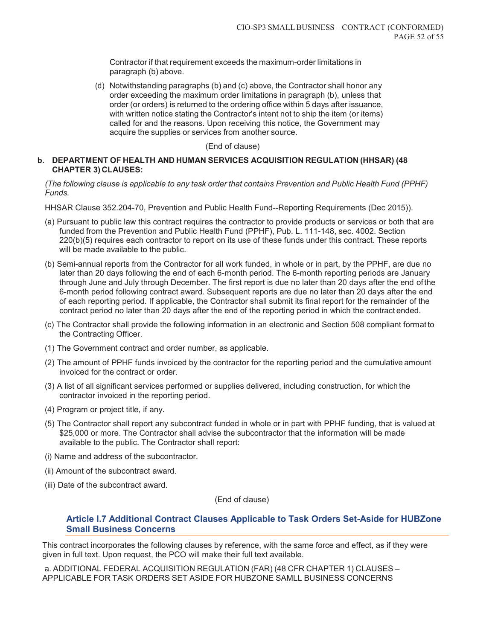Contractor if that requirement exceeds the maximum-order limitations in paragraph (b) above.

(d) Notwithstanding paragraphs (b) and (c) above, the Contractor shall honor any order exceeding the maximum order limitations in paragraph (b), unless that order (or orders) is returned to the ordering office within 5 days after issuance, with written notice stating the Contractor's intent not to ship the item (or items) called for and the reasons. Upon receiving this notice, the Government may acquire the supplies or services from another source.

#### (End of clause)

#### **b. DEPARTMENT OF HEALTH AND HUMAN SERVICES ACQUISITION REGULATION (HHSAR) (48 CHAPTER 3) CLAUSES:**

*(The following clause is applicable to any task order that contains Prevention and Public Health Fund (PPHF) Funds.* 

HHSAR Clause 352.204-70, Prevention and Public Health Fund--Reporting Requirements (Dec 2015)).

- (a) Pursuant to public law this contract requires the contractor to provide products or services or both that are funded from the Prevention and Public Health Fund (PPHF), Pub. L. 111-148, sec. 4002. Section 220(b)(5) requires each contractor to report on its use of these funds under this contract. These reports will be made available to the public.
- (b) Semi-annual reports from the Contractor for all work funded, in whole or in part, by the PPHF, are due no later than 20 days following the end of each 6-month period. The 6-month reporting periods are January through June and July through December. The first report is due no later than 20 days after the end of the 6-month period following contract award. Subsequent reports are due no later than 20 days after the end of each reporting period. If applicable, the Contractor shall submit its final report for the remainder of the contract period no later than 20 days after the end of the reporting period in which the contract ended.
- (c) The Contractor shall provide the following information in an electronic and Section 508 compliant format to the Contracting Officer.
- (1) The Government contract and order number, as applicable.
- (2) The amount of PPHF funds invoiced by the contractor for the reporting period and the cumulative amount invoiced for the contract or order.
- (3) A list of all significant services performed or supplies delivered, including construction, for which the contractor invoiced in the reporting period.
- (4) Program or project title, if any.
- (5) The Contractor shall report any subcontract funded in whole or in part with PPHF funding, that is valued at \$25,000 or more. The Contractor shall advise the subcontractor that the information will be made available to the public. The Contractor shall report:
- (i) Name and address of the subcontractor.
- (ii) Amount of the subcontract award.
- (iii) Date of the subcontract award.

(End of clause)

## **Article I.7 Additional Contract Clauses Applicable to Task Orders Set-Aside for HUBZone Small Business Concerns**

This contract incorporates the following clauses by reference, with the same force and effect, as if they were given in full text. Upon request, the PCO will make their full text available.

a. ADDITIONAL FEDERAL ACQUISITION REGULATION (FAR) (48 CFR CHAPTER 1) CLAUSES – APPLICABLE FOR TASK ORDERS SET ASIDE FOR HUBZONE SAMLL BUSINESS CONCERNS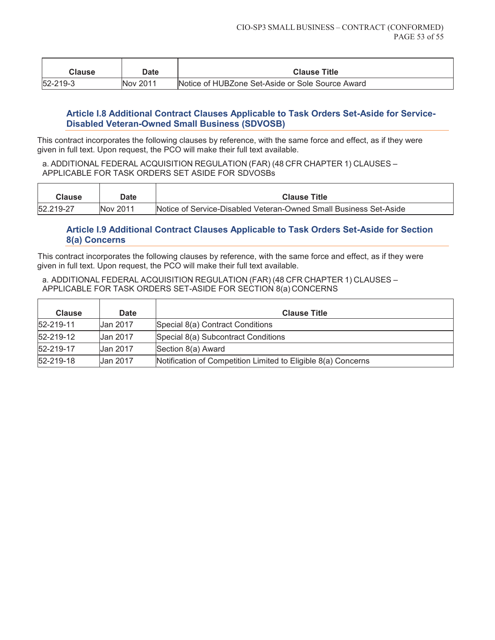| <b>Clause</b>  | Date     | <b>Clause Title</b>                              |
|----------------|----------|--------------------------------------------------|
| $52 - 219 - 3$ | Nov 2011 | Notice of HUBZone Set-Aside or Sole Source Award |

# **Article I.8 Additional Contract Clauses Applicable to Task Orders Set-Aside for Service-Disabled Veteran-Owned Small Business (SDVOSB)**

This contract incorporates the following clauses by reference, with the same force and effect, as if they were given in full text. Upon request, the PCO will make their full text available.

a. ADDITIONAL FEDERAL ACQUISITION REGULATION (FAR) (48 CFR CHAPTER 1) CLAUSES – APPLICABLE FOR TASK ORDERS SET ASIDE FOR SDVOSBs

| Clause    | Date     | <b>Clause Title</b>                                               |
|-----------|----------|-------------------------------------------------------------------|
| 52.219-27 | Nov 2011 | Notice of Service-Disabled Veteran-Owned Small Business Set-Aside |

# **Article I.9 Additional Contract Clauses Applicable to Task Orders Set-Aside for Section 8(a) Concerns**

This contract incorporates the following clauses by reference, with the same force and effect, as if they were given in full text. Upon request, the PCO will make their full text available.

a. ADDITIONAL FEDERAL ACQUISITION REGULATION (FAR) (48 CFR CHAPTER 1) CLAUSES – APPLICABLE FOR TASK ORDERS SET-ASIDE FOR SECTION 8(a) CONCERNS

| <b>Clause</b> | <b>Date</b> | <b>Clause Title</b>                                           |
|---------------|-------------|---------------------------------------------------------------|
| 52-219-11     | Uan 2017    | Special 8(a) Contract Conditions                              |
| 52-219-12     | Uan 2017    | Special 8(a) Subcontract Conditions                           |
| 52-219-17     | Uan 2017    | Section 8(a) Award                                            |
| 52-219-18     | Uan 2017    | Notification of Competition Limited to Eligible 8(a) Concerns |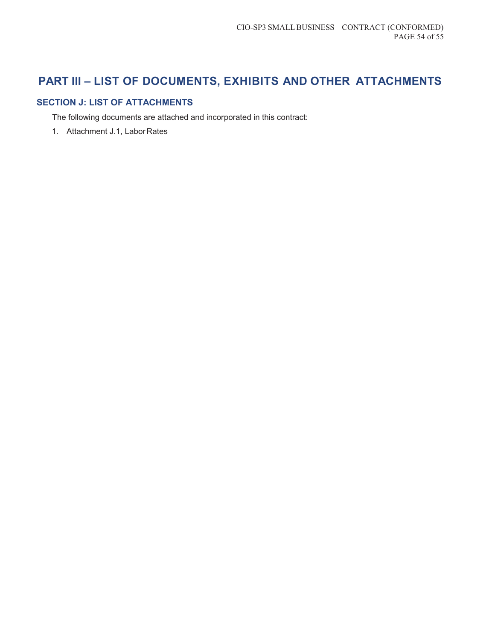# **PART III – LIST OF DOCUMENTS, EXHIBITS AND OTHER ATTACHMENTS**

# **SECTION J: LIST OF ATTACHMENTS**

The following documents are attached and incorporated in this contract:

1. Attachment J.1, Labor Rates